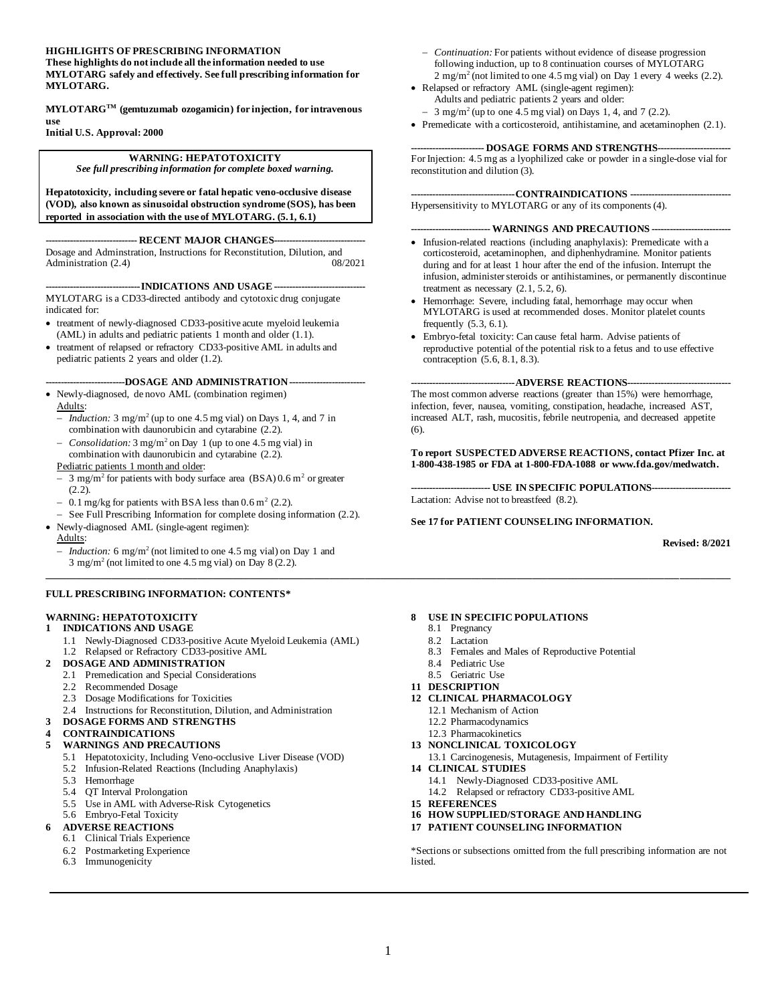#### **HIGHLIGHTS OF PRESCRIBING INFORMATION**

**These highlights do not include all the information needed to use MYLOTARG safely and effectively. Se[e full prescribing information](#page-0-0) for MYLOTARG.**

**MYLOTARGTM (gemtuzumab ozogamicin) for injection, for intravenous use** 

**Initial U.S. Approval: 2000**

#### **WARNING: HEPATOTOXICITY** *See full prescribing information for complete boxed warning.*

**Hepatotoxicity, including severe or fatal hepatic veno-occlusive disease** 

**(VOD), also known as sinusoidal obstruction syndrome (SOS), has been reported in association with the use of MYLOTARG. (5.1, 6.1)**

#### ---- **RECENT MAJOR CHANGES-----**

Dosage and Administration, Instructions for Reconstitution, Dilution, and<br>Administration (2.4) (08/2021 Administration  $(2.4)$ 

**----INDICATIONS AND USAGE ----**MYLOTARG is a CD33-directed antibody and cytotoxic drug conjugate indicated for:

- treatment of newly-diagnosed CD33-positive acute myeloid leukemia (AML) in adults and pediatric patients 1 month and older (1.1).
- treatment of relapsed or refractory CD33-positive AML in adults and pediatric patients 2 years and older (1.2).

#### **--------------------------DOSAGE AND ADMINISTRATION-------------------------**

• Newly-diagnosed, de novo AML (combination regimen) Adults:

- − *Induction:* 3 mg/m<sup>2</sup> (up to one 4.5 mg vial) on Days 1, 4, and 7 in combination with daunorubicin and cytarabine (2.2).
- − *Consolidation:* 3 mg/m<sup>2</sup> on Day 1 (up to one 4.5 mg vial) in combination with daunorubicin and cytarabine (2.2).
- Pediatric patients 1 month and older:
- − 3 mg/m<sup>2</sup> for patients with body surface area (BSA) 0.6 m<sup>2</sup> or greater (2.2).
- $-$  0.1 mg/kg for patients with BSA less than 0.6 m<sup>2</sup> (2.2).
- See Full Prescribing Information for complete dosing information (2.2).
- Newly-diagnosed AML (single-agent regimen):
- Adults:
- − *Induction:* 6 mg/m<sup>2</sup> (not limited to one 4.5 mg vial) on Day 1 and  $3 \text{ mg/m}^2$  (not limited to one 4.5 mg vial) on Day 8 (2.2).

#### **FULL PRESCRIBING INFORMATION: CONTENTS\***

#### **WARNING: HEPATOTOXICITY**

- **1 INDICATIONS AND USAGE**
	- 1.1 Newly-Diagnosed CD33-positive Acute Myeloid Leukemia (AML) 1.2 Relapsed or Refractory CD33-positive AML
- **2 DOSAGE AND ADMINISTRATION**
	- 2.1 Premedication and Special Considerations
	- 2.2 Recommended Dosage
	- 2.3 Dosage Modifications for Toxicities
- 2.4 Instructions for Reconstitution, Dilution, and Administration
- **3 DOSAGE FORMS AND STRENGTHS**

#### **4 CONTRAINDICATIONS**

- **5 WARNINGS AND PRECAUTIONS**
	- 5.1 Hepatotoxicity, Including Veno-occlusive Liver Disease (VOD)
	- 5.2 Infusion-Related Reactions (Including Anaphylaxis)
	- 5.3 Hemorrhage
	- 5.4 QT Interval Prolongation
	- 5.5 Use in AML with Adverse-Risk Cytogenetics
- 5.6 Embryo-Fetal Toxicity

#### **6 ADVERSE REACTIONS**

- 6.1 Clinical Trials Experience
- 6.2 Postmarketing Experience
- 6.3 Immunogenicity
- − *Continuation:* For patients without evidence of disease progression following induction, up to 8 continuation courses of MYLOTARG  $2 \text{ mg/m}^2$  (not limited to one 4.5 mg vial) on Day 1 every 4 weeks (2.2).
- Relapsed or refractory AML (single-agent regimen): Adults and pediatric patients 2 years and older:
	- − 3 mg/m<sup>2</sup> (up to one 4.5 mg vial) on Days 1, 4, and 7 (2.2).
- Premedicate with a corticosteroid, antihistamine, and acetaminophen (2.1).

#### -- **DOSAGE FORMS AND STRENGTHS--**

For Injection: 4.5 mg as a lyophilized cake or powder in a single-dose vial for reconstitution and dilution (3).

#### **----------------------------------CONTRAINDICATIONS ---------------------------------**

Hypersensitivity to MYLOTARG or any of its components (4).

#### **-------------------------- WARNINGS AND PRECAUTIONS --------------------------**

- Infusion-related reactions (including anaphylaxis): Premedicate with a corticosteroid, acetaminophen, and diphenhydramine. Monitor patients during and for at least 1 hour after the end of the infusion. Interrupt the infusion, administer steroids or antihistamines, or permanently discontinue treatment as necessary  $(2.1, 5.2, 6)$ .
- Hemorrhage: Severe, including fatal, hemorrhage may occur when MYLOTARG is used at recommended doses. Monitor platelet counts frequently  $(5.3, 6.1)$ .
- Embryo-fetal toxicity: Can cause fetal harm. Advise patients of reproductive potential of the potential risk to a fetus and to use effective contraception (5.6, 8.1, 8.3).

#### **----------------------------------ADVERSE REACTIONS----------------------------------**

The most common adverse reactions (greater than 15%) were hemorrhage, infection, fever, nausea, vomiting, constipation, headache, increased AST, increased ALT, rash, mucositis, febrile neutropenia, and decreased appetite (6).

**To report SUSPECTED ADVERSE REACTIONS, contact Pfizer Inc. at 1-800-438-1985 or FDA at 1-800-FDA-1088 o[r www.fda.gov/medwatch.](http://www.fda.gov/medwatch)**

**-------------------------- USE IN SPECIFIC POPULATIONS--------------------------** Lactation: Advise not to breastfeed (8.2).

#### <span id="page-0-0"></span>**See 17 for PATIENT COUNSELING INFORMATION.**

**Revised: 8/2021**

#### **8 USE IN SPECIFIC POPULATIONS**

- 8.1 Pregnancy
- 8.2 Lactation
- 8.3 Females and Males of Reproductive Potential
- 8.4 Pediatric Use
- 8.5 Geriatric Use
- **11 DESCRIPTION**
- **12 CLINICAL PHARMACOLOGY**
	- 12.1 Mechanism of Action
	- 12.2 Pharmacodynamics
	- 12.3 Pharmacokinetics
- **13 NONCLINICAL TOXICOLOGY**
- 13.1 Carcinogenesis, Mutagenesis, Impairment of Fertility
- **14 CLINICAL STUDIES**
	- 14.1 Newly-Diagnosed CD33-positive AML 14.2 Relapsed or refractory CD33-positive AML
- **15 REFERENCES**
- 
- **16 HOW SUPPLIED/STORAGE AND HANDLING 17 PATIENT COUNSELING INFORMATION**
- 

\*Sections or subsections omitted from the full prescribing information are not listed.

**\_\_\_\_\_\_\_\_\_\_\_\_\_\_\_\_\_\_\_\_\_\_\_\_\_\_\_\_\_\_\_\_\_\_\_\_\_\_\_\_\_\_\_\_\_\_\_\_\_\_\_\_\_\_\_\_\_\_\_\_\_\_\_\_\_\_\_\_\_\_\_\_\_\_\_\_\_\_\_\_\_\_\_\_\_\_\_\_\_\_\_\_\_\_\_\_\_\_\_\_\_\_\_\_\_\_\_\_\_\_\_\_\_\_\_\_\_\_\_\_\_\_\_\_\_\_\_\_\_\_\_\_\_\_\_**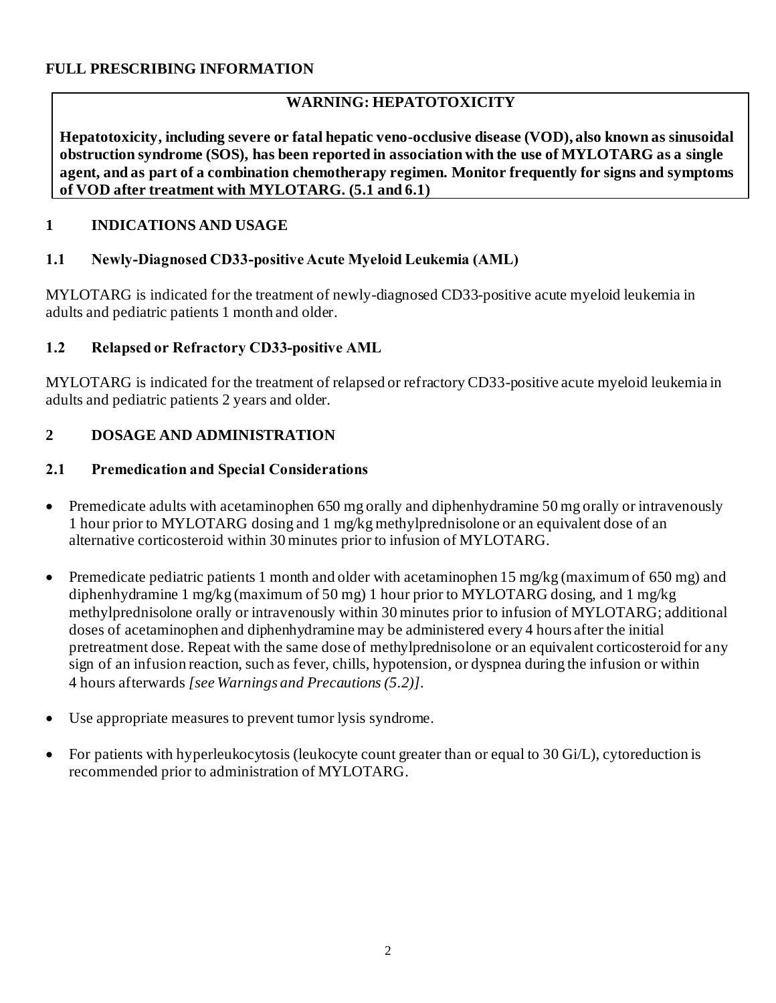#### **FULL PRESCRIBING INFORMATION**

## **WARNING: HEPATOTOXICITY**

**Hepatotoxicity, including severe or fatal hepatic veno-occlusive disease (VOD), also known as sinusoidal obstruction syndrome (SOS), has been reported in association with the use of MYLOTARG as a single agent, and as part of a combination chemotherapy regimen. Monitor frequently for signs and symptoms of VOD after treatment with MYLOTARG. (5.1 and 6.1)**

#### **1 INDICATIONS AND USAGE**

#### **1.1 Newly-Diagnosed CD33-positive Acute Myeloid Leukemia (AML)**

MYLOTARG is indicated for the treatment of newly-diagnosed CD33-positive acute myeloid leukemia in adults and pediatric patients 1 month and older.

#### **1.2 Relapsed or Refractory CD33-positive AML**

MYLOTARG is indicated for the treatment of relapsed or refractory CD33-positive acute myeloid leukemia in adults and pediatric patients 2 years and older.

## **2 DOSAGE AND ADMINISTRATION**

#### **2.1 Premedication and Special Considerations**

- Premedicate adults with acetaminophen 650 mg orally and diphenhydramine 50 mg orally or intravenously 1 hour prior to MYLOTARG dosing and 1 mg/kg methylprednisolone or an equivalent dose of an alternative corticosteroid within 30 minutes prior to infusion of MYLOTARG.
- Premedicate pediatric patients 1 month and older with acetaminophen 15 mg/kg (maximum of 650 mg) and diphenhydramine 1 mg/kg (maximum of 50 mg) 1 hour prior to MYLOTARG dosing, and 1 mg/kg methylprednisolone orally or intravenously within 30 minutes prior to infusion of MYLOTARG; additional doses of acetaminophen and diphenhydramine may be administered every 4 hours after the initial pretreatment dose. Repeat with the same dose of methylprednisolone or an equivalent corticosteroid for any sign of an infusion reaction, such as fever, chills, hypotension, or dyspnea during the infusion or within 4 hours afterwards *[see Warnings and Precautions (5.2)]*.
- Use appropriate measures to prevent tumor lysis syndrome.
- For patients with hyperleukocytosis (leukocyte count greater than or equal to 30 Gi/L), cytoreduction is recommended prior to administration of MYLOTARG.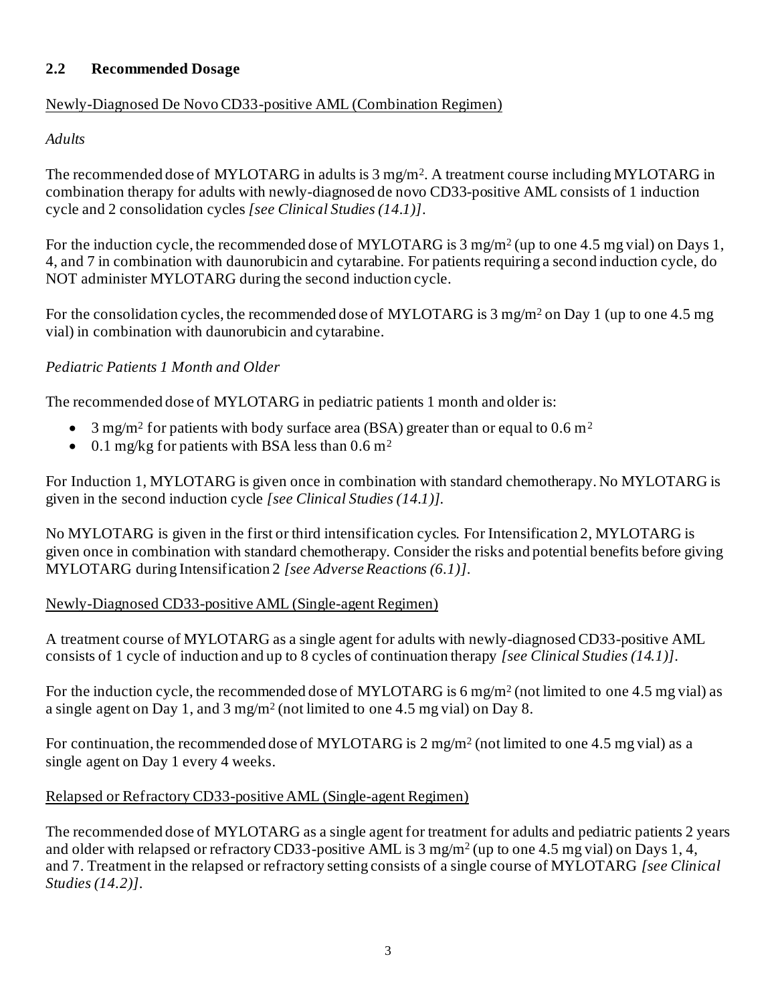#### **2.2 Recommended Dosage**

## Newly-Diagnosed De Novo CD33-positive AML (Combination Regimen)

#### *Adults*

The recommended dose of MYLOTARG in adults is 3 mg/m<sup>2</sup>. A treatment course including MYLOTARG in combination therapy for adults with newly-diagnosed de novo CD33-positive AML consists of 1 induction cycle and 2 consolidation cycles *[see Clinical Studies (14.1)]*.

For the induction cycle, the recommended dose of MYLOTARG is 3 mg/m<sup>2</sup> (up to one 4.5 mg vial) on Days 1, 4, and 7 in combination with daunorubicin and cytarabine*.* For patients requiring a second induction cycle, do NOT administer MYLOTARG during the second induction cycle.

For the consolidation cycles, the recommended dose of MYLOTARG is 3 mg/m<sup>2</sup> on Day 1 (up to one 4.5 mg) vial) in combination with daunorubicin and cytarabine.

#### *Pediatric Patients 1 Month and Older*

The recommended dose of MYLOTARG in pediatric patients 1 month and older is:

- 3 mg/m<sup>2</sup> for patients with body surface area (BSA) greater than or equal to 0.6 m<sup>2</sup>
- 0.1 mg/kg for patients with BSA less than  $0.6$  m<sup>2</sup>

For Induction 1, MYLOTARG is given once in combination with standard chemotherapy. No MYLOTARG is given in the second induction cycle *[see Clinical Studies (14.1)].*

No MYLOTARG is given in the first or third intensification cycles. For Intensification 2, MYLOTARG is given once in combination with standard chemotherapy. Consider the risks and potential benefits before giving MYLOTARG during Intensification 2 *[see Adverse Reactions (6.1)]*.

#### Newly-Diagnosed CD33-positive AML (Single-agent Regimen)

A treatment course of MYLOTARG as a single agent for adults with newly-diagnosed CD33-positive AML consists of 1 cycle of induction and up to 8 cycles of continuation therapy *[see Clinical Studies (14.1)].*

For the induction cycle, the recommended dose of MYLOTARG is 6 mg/m<sup>2</sup> (not limited to one 4.5 mg vial) as a single agent on Day 1, and 3 mg/m<sup>2</sup> (not limited to one 4.5 mg vial) on Day 8.

For continuation, the recommended dose of MYLOTARG is  $2 \text{ mg/m}^2$  (not limited to one 4.5 mg vial) as a single agent on Day 1 every 4 weeks.

## Relapsed or Refractory CD33-positive AML (Single-agent Regimen)

The recommended dose of MYLOTARG as a single agent for treatment for adults and pediatric patients 2 years and older with relapsed or refractory CD33-positive AML is 3 mg/m<sup>2</sup> (up to one 4.5 mg vial) on Days 1, 4, and 7. Treatment in the relapsed or refractory setting consists of a single course of MYLOTARG *[see Clinical Studies (14.2)]*.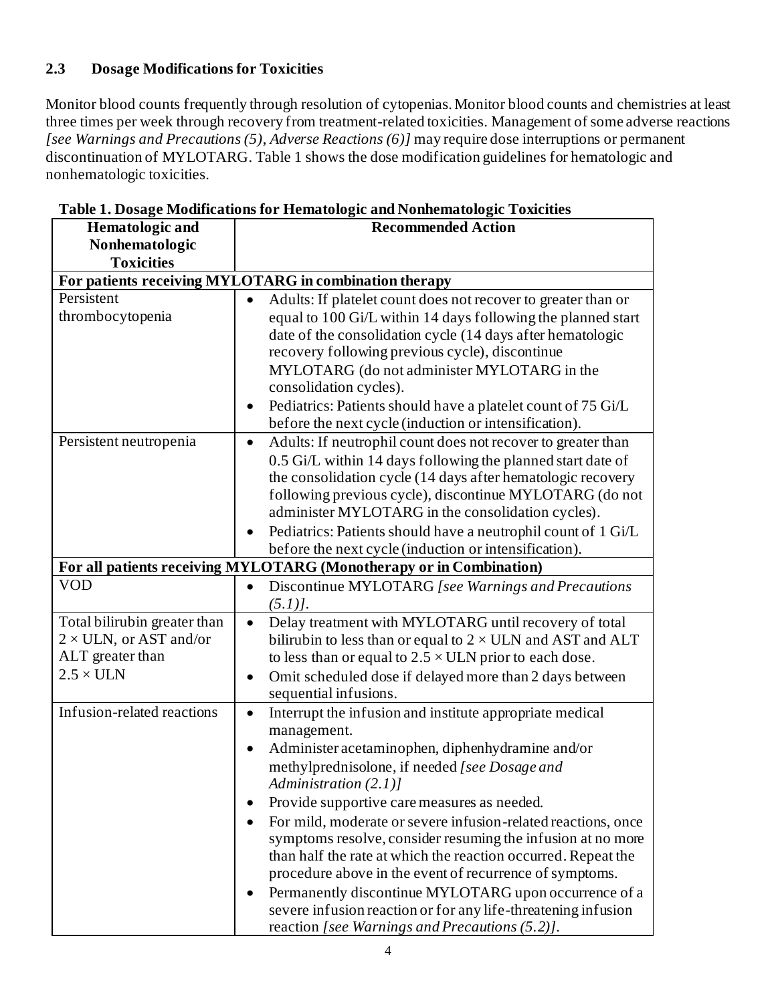# **2.3 Dosage Modifications for Toxicities**

Monitor blood counts frequently through resolution of cytopenias. Monitor blood counts and chemistries at least three times per week through recovery from treatment-related toxicities. Management of some adverse reactions *[see Warnings and Precautions (5)*, *Adverse Reactions (6)]* may require dose interruptions or permanent discontinuation of MYLOTARG. Table 1 shows the dose modification guidelines for hematologic and nonhematologic toxicities.

| <b>Hematologic and</b>                                 | <b>Recommended Action</b>                                                 |  |  |  |  |
|--------------------------------------------------------|---------------------------------------------------------------------------|--|--|--|--|
| Nonhematologic                                         |                                                                           |  |  |  |  |
| <b>Toxicities</b>                                      |                                                                           |  |  |  |  |
| For patients receiving MYLOTARG in combination therapy |                                                                           |  |  |  |  |
| Persistent                                             | Adults: If platelet count does not recover to greater than or             |  |  |  |  |
| thrombocytopenia                                       | equal to 100 Gi/L within 14 days following the planned start              |  |  |  |  |
|                                                        | date of the consolidation cycle (14 days after hematologic                |  |  |  |  |
|                                                        | recovery following previous cycle), discontinue                           |  |  |  |  |
|                                                        | MYLOTARG (do not administer MYLOTARG in the                               |  |  |  |  |
|                                                        | consolidation cycles).                                                    |  |  |  |  |
|                                                        | Pediatrics: Patients should have a platelet count of 75 Gi/L<br>$\bullet$ |  |  |  |  |
|                                                        | before the next cycle (induction or intensification).                     |  |  |  |  |
| Persistent neutropenia                                 | Adults: If neutrophil count does not recover to greater than<br>$\bullet$ |  |  |  |  |
|                                                        | 0.5 Gi/L within 14 days following the planned start date of               |  |  |  |  |
|                                                        | the consolidation cycle (14 days after hematologic recovery               |  |  |  |  |
|                                                        | following previous cycle), discontinue MYLOTARG (do not                   |  |  |  |  |
|                                                        | administer MYLOTARG in the consolidation cycles).                         |  |  |  |  |
|                                                        | Pediatrics: Patients should have a neutrophil count of 1 Gi/L             |  |  |  |  |
|                                                        | before the next cycle (induction or intensification).                     |  |  |  |  |
|                                                        | For all patients receiving MYLOTARG (Monotherapy or in Combination)       |  |  |  |  |
| <b>VOD</b>                                             | Discontinue MYLOTARG [see Warnings and Precautions<br>$\bullet$           |  |  |  |  |
|                                                        | $(5.1)$ .                                                                 |  |  |  |  |
| Total bilirubin greater than                           | Delay treatment with MYLOTARG until recovery of total<br>$\bullet$        |  |  |  |  |
| $2 \times$ ULN, or AST and/or                          | bilirubin to less than or equal to $2 \times$ ULN and AST and ALT         |  |  |  |  |
| ALT greater than                                       | to less than or equal to $2.5 \times ULN$ prior to each dose.             |  |  |  |  |
| $2.5 \times ULN$                                       | Omit scheduled dose if delayed more than 2 days between                   |  |  |  |  |
|                                                        | sequential infusions.                                                     |  |  |  |  |
| Infusion-related reactions                             | Interrupt the infusion and institute appropriate medical<br>$\bullet$     |  |  |  |  |
|                                                        | management.                                                               |  |  |  |  |
|                                                        | Administer acetaminophen, diphenhydramine and/or                          |  |  |  |  |
|                                                        | methylprednisolone, if needed [see Dosage and                             |  |  |  |  |
|                                                        | Administration $(2.1)$ ]                                                  |  |  |  |  |
|                                                        | Provide supportive care measures as needed.                               |  |  |  |  |
|                                                        | For mild, moderate or severe infusion-related reactions, once             |  |  |  |  |
|                                                        | symptoms resolve, consider resuming the infusion at no more               |  |  |  |  |
|                                                        | than half the rate at which the reaction occurred. Repeat the             |  |  |  |  |
|                                                        | procedure above in the event of recurrence of symptoms.                   |  |  |  |  |
|                                                        | Permanently discontinue MYLOTARG upon occurrence of a<br>$\bullet$        |  |  |  |  |
|                                                        | severe infusion reaction or for any life-threatening infusion             |  |  |  |  |
|                                                        | reaction [see Warnings and Precautions (5.2)].                            |  |  |  |  |

**Table 1. Dosage Modifications for Hematologic and Nonhematologic Toxicities**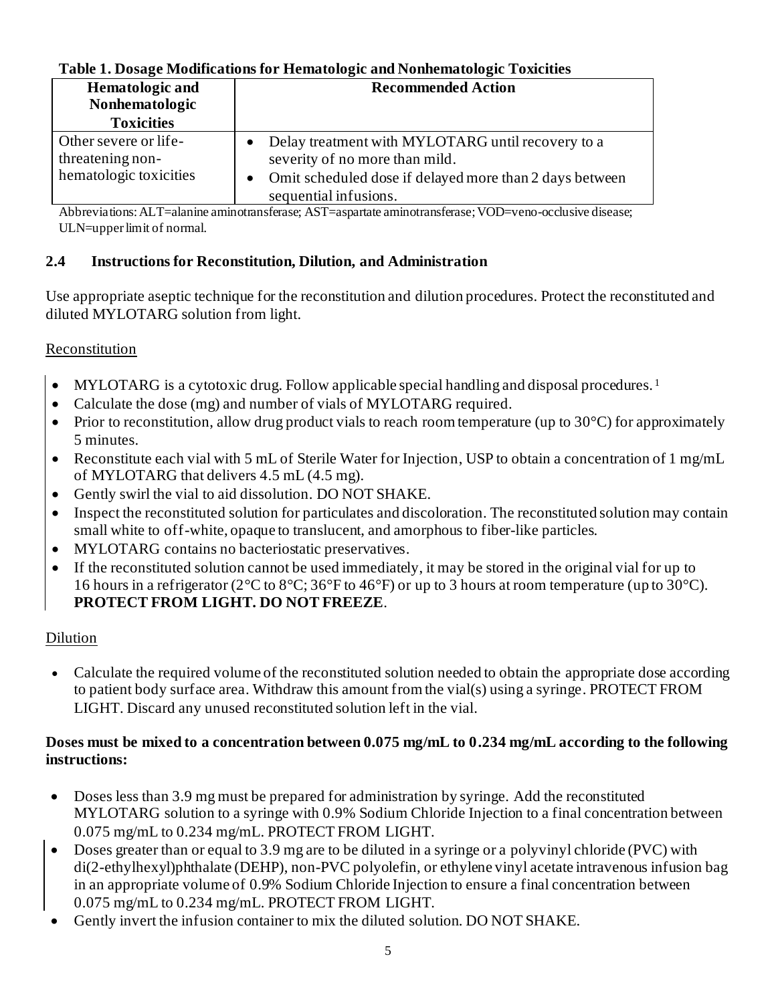# **Table 1. Dosage Modifications for Hematologic and Nonhematologic Toxicities**

| <b>Hematologic and</b>                                              | <b>Recommended Action</b>                                                                                                                                                 |  |  |
|---------------------------------------------------------------------|---------------------------------------------------------------------------------------------------------------------------------------------------------------------------|--|--|
| Nonhematologic                                                      |                                                                                                                                                                           |  |  |
| <b>Toxicities</b>                                                   |                                                                                                                                                                           |  |  |
| Other severe or life-<br>threatening non-<br>hematologic toxicities | Delay treatment with MYLOTARG until recovery to a<br>severity of no more than mild.<br>• Omit scheduled dose if delayed more than 2 days between<br>sequential infusions. |  |  |

Abbreviations: ALT=alanine aminotransferase; AST=aspartate aminotransferase; VOD=veno-occlusive disease; ULN=upper limit of normal.

# **2.4 Instructions for Reconstitution, Dilution, and Administration**

Use appropriate aseptic technique for the reconstitution and dilution procedures. Protect the reconstituted and diluted MYLOTARG solution from light.

# Reconstitution

- MYLOTARG is a cytotoxic drug. Follow applicable special handling and disposal procedures.<sup>1</sup>
- Calculate the dose (mg) and number of vials of MYLOTARG required.
- Prior to reconstitution, allow drug product vials to reach room temperature (up to  $30^{\circ}$ C) for approximately 5 minutes.
- Reconstitute each vial with 5 mL of Sterile Water for Injection, USP to obtain a concentration of 1 mg/mL of MYLOTARG that delivers 4.5 mL (4.5 mg).
- Gently swirl the vial to aid dissolution. DO NOT SHAKE.
- Inspect the reconstituted solution for particulates and discoloration. The reconstituted solution may contain small white to off-white, opaque to translucent, and amorphous to fiber-like particles.
- MYLOTARG contains no bacteriostatic preservatives.
- If the reconstituted solution cannot be used immediately, it may be stored in the original vial for up to 16 hours in a refrigerator (2°C to 8°C; 36°F to 46°F) or up to 3 hours at room temperature (up to 30°C). **PROTECT FROM LIGHT. DO NOT FREEZE**.

## Dilution

• Calculate the required volume of the reconstituted solution needed to obtain the appropriate dose according to patient body surface area. Withdraw this amount from the vial(s) using a syringe. PROTECT FROM LIGHT. Discard any unused reconstituted solution left in the vial.

#### **Doses must be mixed to a concentration between 0.075 mg/mL to 0.234 mg/mL according to the following instructions:**

- Doses less than 3.9 mg must be prepared for administration by syringe. Add the reconstituted MYLOTARG solution to a syringe with 0.9% Sodium Chloride Injection to a final concentration between 0.075 mg/mL to 0.234 mg/mL. PROTECT FROM LIGHT.
- Doses greater than or equal to 3.9 mg are to be diluted in a syringe or a polyvinyl chloride (PVC) with di(2-ethylhexyl)phthalate (DEHP), non-PVC polyolefin, or ethylene vinyl acetate intravenous infusion bag in an appropriate volume of 0.9% Sodium Chloride Injection to ensure a final concentration between 0.075 mg/mL to 0.234 mg/mL. PROTECT FROM LIGHT.
- Gently invert the infusion container to mix the diluted solution. DO NOT SHAKE.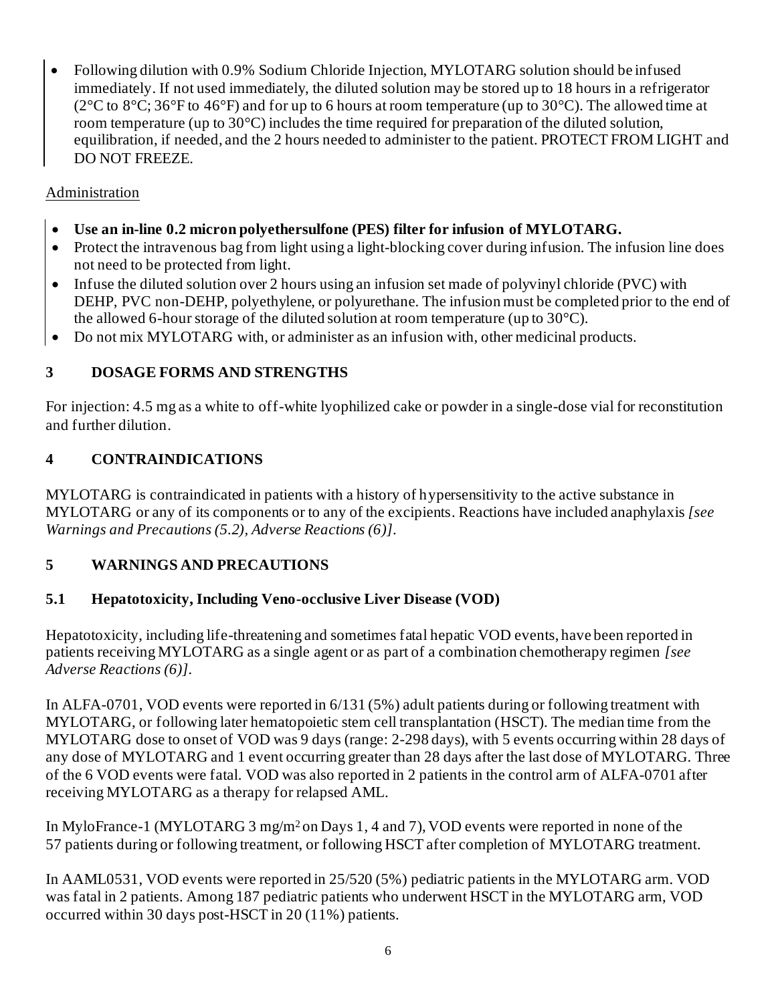• Following dilution with 0.9% Sodium Chloride Injection, MYLOTARG solution should be infused immediately. If not used immediately, the diluted solution may be stored up to 18 hours in a refrigerator (2 $\rm{°C}$  to 8 $\rm{°C}$ ; 36 $\rm{°F}$  to 46 $\rm{°F}$ ) and for up to 6 hours at room temperature (up to 30 $\rm{°C}$ ). The allowed time at room temperature (up to 30°C) includes the time required for preparation of the diluted solution, equilibration, if needed, and the 2 hours needed to administer to the patient. PROTECT FROM LIGHT and DO NOT FREEZE.

# Administration

- **Use an in-line 0.2 micron polyethersulfone (PES) filter for infusion of MYLOTARG.**
- Protect the intravenous bag from light using a light-blocking cover during infusion. The infusion line does not need to be protected from light.
- Infuse the diluted solution over 2 hours using an infusion set made of polyvinyl chloride (PVC) with DEHP, PVC non-DEHP, polyethylene, or polyurethane. The infusion must be completed prior to the end of the allowed 6-hour storage of the diluted solution at room temperature (up to 30°C).
- Do not mix MYLOTARG with, or administer as an infusion with, other medicinal products.

# **3 DOSAGE FORMS AND STRENGTHS**

For injection: 4.5 mg as a white to off-white lyophilized cake or powder in a single-dose vial for reconstitution and further dilution.

# **4 CONTRAINDICATIONS**

MYLOTARG is contraindicated in patients with a history of hypersensitivity to the active substance in MYLOTARG or any of its components or to any of the excipients. Reactions have included anaphylaxis *[see Warnings and Precautions (5.2), Adverse Reactions (6)]*.

## **5 WARNINGS AND PRECAUTIONS**

## **5.1 Hepatotoxicity, Including Veno-occlusive Liver Disease (VOD)**

Hepatotoxicity, including life-threatening and sometimes fatal hepatic VOD events, have been reported in patients receiving MYLOTARG as a single agent or as part of a combination chemotherapy regimen *[see Adverse Reactions (6)].*

In ALFA-0701, VOD events were reported in 6/131 (5%) adult patients during or following treatment with MYLOTARG, or following later hematopoietic stem cell transplantation (HSCT). The median time from the MYLOTARG dose to onset of VOD was 9 days (range: 2-298 days), with 5 events occurring within 28 days of any dose of MYLOTARG and 1 event occurring greater than 28 days after the last dose of MYLOTARG. Three of the 6 VOD events were fatal. VOD was also reported in 2 patients in the control arm of ALFA-0701 after receiving MYLOTARG as a therapy for relapsed AML.

In MyloFrance-1 (MYLOTARG 3 mg/m<sup>2</sup> on Days 1, 4 and 7), VOD events were reported in none of the 57 patients during or following treatment, or following HSCT after completion of MYLOTARG treatment.

In AAML0531, VOD events were reported in 25/520 (5%) pediatric patients in the MYLOTARG arm. VOD was fatal in 2 patients. Among 187 pediatric patients who underwent HSCT in the MYLOTARG arm, VOD occurred within 30 days post-HSCT in 20 (11%) patients.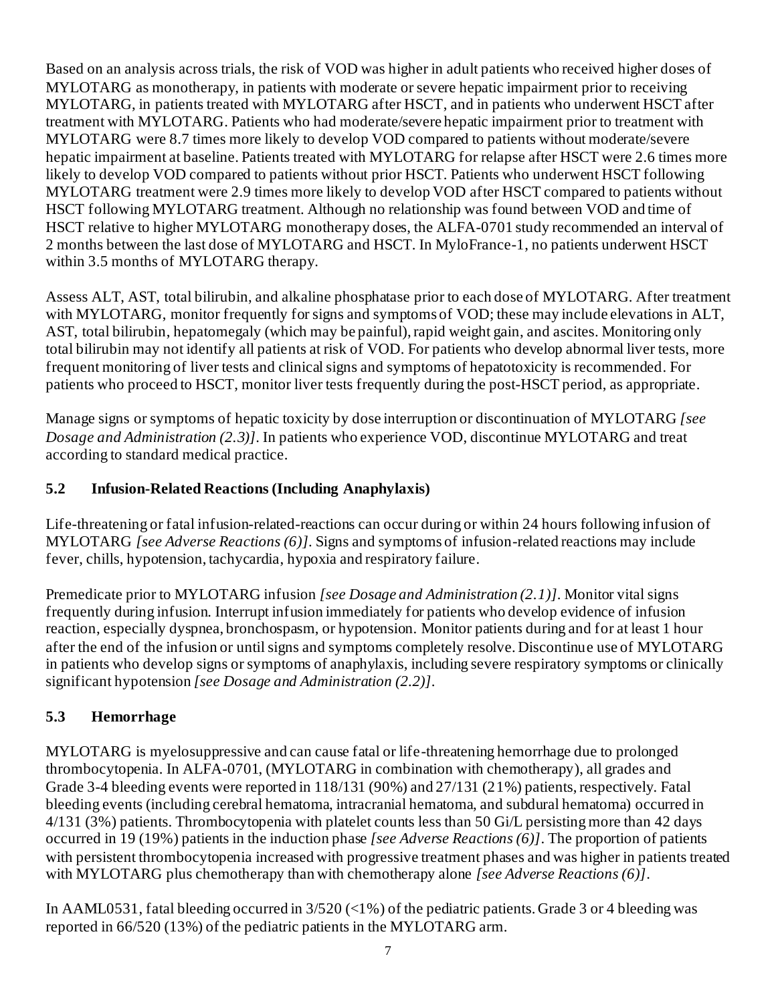Based on an analysis across trials, the risk of VOD was higher in adult patients who received higher doses of MYLOTARG as monotherapy, in patients with moderate or severe hepatic impairment prior to receiving MYLOTARG, in patients treated with MYLOTARG after HSCT, and in patients who underwent HSCT after treatment with MYLOTARG. Patients who had moderate/severe hepatic impairment prior to treatment with MYLOTARG were 8.7 times more likely to develop VOD compared to patients without moderate/severe hepatic impairment at baseline. Patients treated with MYLOTARG for relapse after HSCT were 2.6 times more likely to develop VOD compared to patients without prior HSCT. Patients who underwent HSCT following MYLOTARG treatment were 2.9 times more likely to develop VOD after HSCT compared to patients without HSCT following MYLOTARG treatment. Although no relationship was found between VOD and time of HSCT relative to higher MYLOTARG monotherapy doses, the ALFA-0701 study recommended an interval of 2 months between the last dose of MYLOTARG and HSCT. In MyloFrance-1, no patients underwent HSCT within 3.5 months of MYLOTARG therapy.

Assess ALT, AST, total bilirubin, and alkaline phosphatase prior to each dose of MYLOTARG. After treatment with MYLOTARG, monitor frequently for signs and symptoms of VOD; these may include elevations in ALT, AST, total bilirubin, hepatomegaly (which may be painful), rapid weight gain, and ascites. Monitoring only total bilirubin may not identify all patients at risk of VOD. For patients who develop abnormal liver tests, more frequent monitoring of liver tests and clinical signs and symptoms of hepatotoxicity is recommended. For patients who proceed to HSCT, monitor liver tests frequently during the post-HSCT period, as appropriate.

Manage signs or symptoms of hepatic toxicity by dose interruption or discontinuation of MYLOTARG *[see Dosage and Administration (2.3)]*. In patients who experience VOD, discontinue MYLOTARG and treat according to standard medical practice.

# **5.2 Infusion-Related Reactions (Including Anaphylaxis)**

Life-threatening or fatal infusion-related-reactions can occur during or within 24 hours following infusion of MYLOTARG *[see Adverse Reactions (6)]*. Signs and symptoms of infusion-related reactions may include fever, chills, hypotension, tachycardia, hypoxia and respiratory failure.

Premedicate prior to MYLOTARG infusion *[see Dosage and Administration (2.1)]*. Monitor vital signs frequently during infusion. Interrupt infusion immediately for patients who develop evidence of infusion reaction, especially dyspnea, bronchospasm, or hypotension. Monitor patients during and for at least 1 hour after the end of the infusion or until signs and symptoms completely resolve. Discontinue use of MYLOTARG in patients who develop signs or symptoms of anaphylaxis, including severe respiratory symptoms or clinically significant hypotension *[see Dosage and Administration (2.2)]*.

# **5.3 Hemorrhage**

MYLOTARG is myelosuppressive and can cause fatal or life-threatening hemorrhage due to prolonged thrombocytopenia. In ALFA-0701, (MYLOTARG in combination with chemotherapy), all grades and Grade 3-4 bleeding events were reported in 118/131 (90%) and 27/131 (21%) patients, respectively. Fatal bleeding events (including cerebral hematoma, intracranial hematoma, and subdural hematoma) occurred in 4/131 (3%) patients. Thrombocytopenia with platelet counts less than 50 Gi/L persisting more than 42 days occurred in 19 (19%) patients in the induction phase *[see Adverse Reactions (6)]*. The proportion of patients with persistent thrombocytopenia increased with progressive treatment phases and was higher in patients treated with MYLOTARG plus chemotherapy than with chemotherapy alone *[see Adverse Reactions (6)]*.

In AAML0531, fatal bleeding occurred in 3/520 (<1%) of the pediatric patients. Grade 3 or 4 bleeding was reported in 66/520 (13%) of the pediatric patients in the MYLOTARG arm.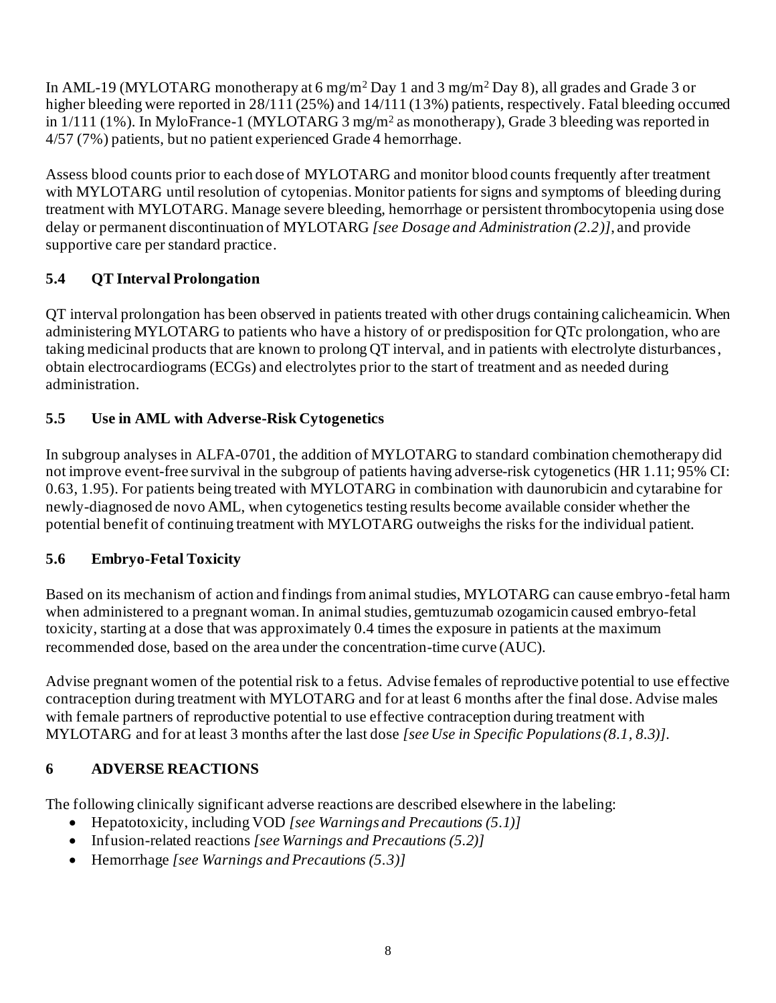In AML-19 (MYLOTARG monotherapy at 6 mg/m<sup>2</sup> Day 1 and 3 mg/m<sup>2</sup> Day 8), all grades and Grade 3 or higher bleeding were reported in 28/111 (25%) and 14/111 (13%) patients, respectively. Fatal bleeding occurred in 1/111 (1%). In MyloFrance-1 (MYLOTARG 3 mg/m<sup>2</sup> as monotherapy), Grade 3 bleeding was reported in 4/57 (7%) patients, but no patient experienced Grade 4 hemorrhage.

Assess blood counts prior to each dose of MYLOTARG and monitor blood counts frequently after treatment with MYLOTARG until resolution of cytopenias. Monitor patients for signs and symptoms of bleeding during treatment with MYLOTARG. Manage severe bleeding, hemorrhage or persistent thrombocytopenia using dose delay or permanent discontinuation of MYLOTARG *[see Dosage and Administration (2.2)]*, and provide supportive care per standard practice.

# **5.4 QT Interval Prolongation**

QT interval prolongation has been observed in patients treated with other drugs containing calicheamicin. When administering MYLOTARG to patients who have a history of or predisposition for QTc prolongation, who are taking medicinal products that are known to prolong QT interval, and in patients with electrolyte disturbances, obtain electrocardiograms (ECGs) and electrolytes prior to the start of treatment and as needed during administration.

# **5.5 Use in AML with Adverse-Risk Cytogenetics**

In subgroup analyses in ALFA-0701, the addition of MYLOTARG to standard combination chemotherapy did not improve event-free survival in the subgroup of patients having adverse-risk cytogenetics (HR 1.11; 95% CI: 0.63, 1.95). For patients being treated with MYLOTARG in combination with daunorubicin and cytarabine for newly-diagnosed de novo AML, when cytogenetics testing results become available consider whether the potential benefit of continuing treatment with MYLOTARG outweighs the risks for the individual patient.

# **5.6 Embryo-Fetal Toxicity**

Based on its mechanism of action and findings from animal studies, MYLOTARG can cause embryo-fetal harm when administered to a pregnant woman. In animal studies, gemtuzumab ozogamicin caused embryo-fetal toxicity, starting at a dose that was approximately 0.4 times the exposure in patients at the maximum recommended dose, based on the area under the concentration-time curve (AUC).

Advise pregnant women of the potential risk to a fetus. Advise females of reproductive potential to use effective contraception during treatment with MYLOTARG and for at least 6 months after the final dose. Advise males with female partners of reproductive potential to use effective contraception during treatment with MYLOTARG and for at least 3 months after the last dose *[see Use in Specific Populations (8.1, 8.3)].*

# **6 ADVERSE REACTIONS**

The following clinically significant adverse reactions are described elsewhere in the labeling:

- Hepatotoxicity, including VOD *[see Warnings and Precautions (5.1)]*
- Infusion-related reactions *[see Warnings and Precautions (5.2)]*
- Hemorrhage *[see Warnings and Precautions (5.3)]*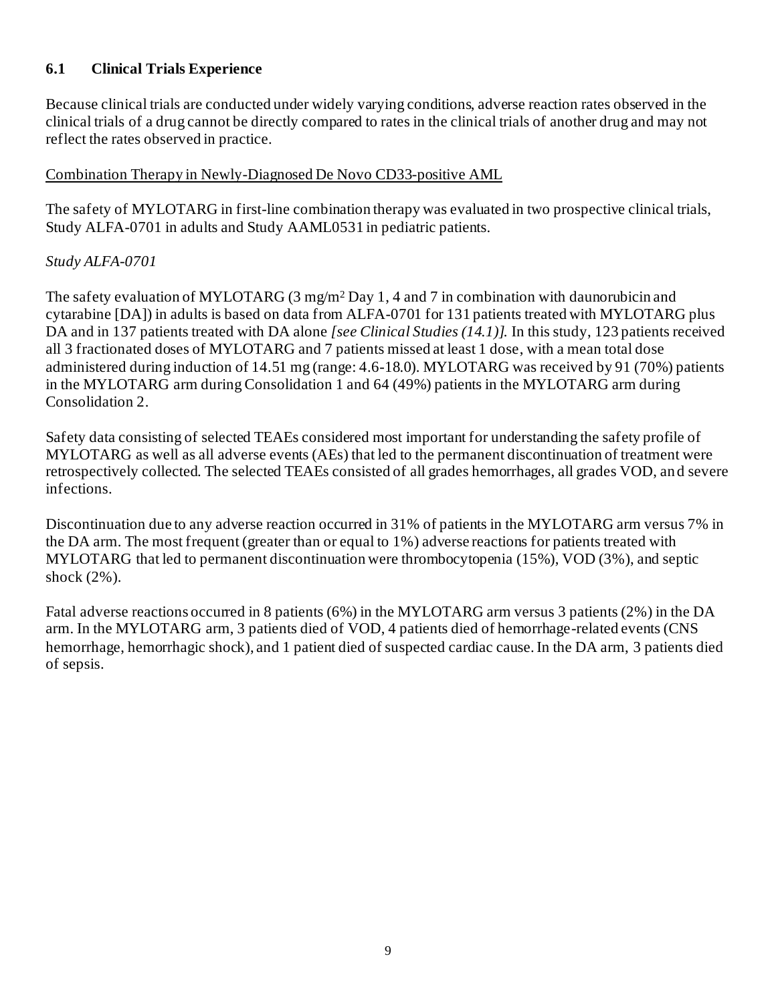# **6.1 Clinical Trials Experience**

Because clinical trials are conducted under widely varying conditions, adverse reaction rates observed in the clinical trials of a drug cannot be directly compared to rates in the clinical trials of another drug and may not reflect the rates observed in practice.

#### Combination Therapy in Newly-Diagnosed De Novo CD33-positive AML

The safety of MYLOTARG in first-line combination therapy was evaluated in two prospective clinical trials, Study ALFA-0701 in adults and Study AAML0531 in pediatric patients.

## *Study ALFA-0701*

The safety evaluation of MYLOTARG (3 mg/m<sup>2</sup> Day 1, 4 and 7 in combination with daunorubicin and cytarabine [DA]) in adults is based on data from ALFA-0701 for 131 patients treated with MYLOTARG plus DA and in 137 patients treated with DA alone *[see Clinical Studies (14.1)].* In this study, 123 patients received all 3 fractionated doses of MYLOTARG and 7 patients missed at least 1 dose, with a mean total dose administered during induction of 14.51 mg (range: 4.6-18.0). MYLOTARG was received by 91 (70%) patients in the MYLOTARG arm during Consolidation 1 and 64 (49%) patients in the MYLOTARG arm during Consolidation 2.

Safety data consisting of selected TEAEs considered most important for understanding the safety profile of MYLOTARG as well as all adverse events (AEs) that led to the permanent discontinuation of treatment were retrospectively collected. The selected TEAEs consisted of all grades hemorrhages, all grades VOD, an d severe infections.

Discontinuation due to any adverse reaction occurred in 31% of patients in the MYLOTARG arm versus 7% in the DA arm. The most frequent (greater than or equal to 1%) adverse reactions for patients treated with MYLOTARG that led to permanent discontinuation were thrombocytopenia (15%), VOD (3%), and septic shock (2%).

Fatal adverse reactions occurred in 8 patients (6%) in the MYLOTARG arm versus 3 patients (2%) in the DA arm. In the MYLOTARG arm, 3 patients died of VOD, 4 patients died of hemorrhage-related events (CNS hemorrhage, hemorrhagic shock), and 1 patient died of suspected cardiac cause. In the DA arm, 3 patients died of sepsis.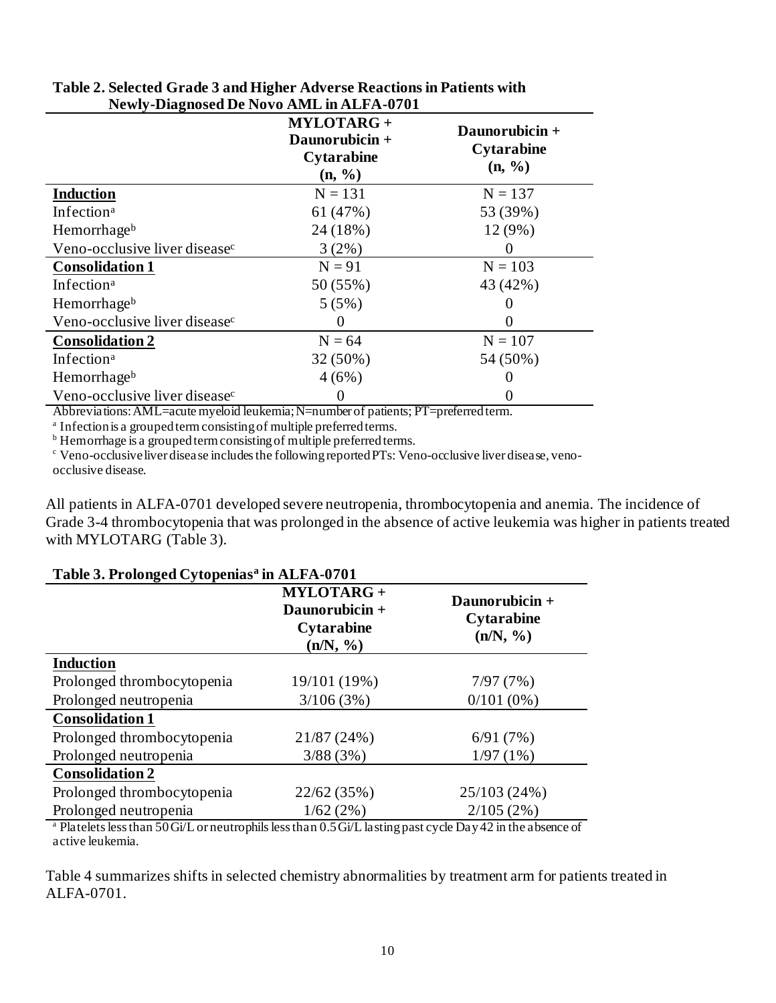| Tww. Diagnosca De Novo Invio minimite of of |                                                                               |                                                           |  |  |  |
|---------------------------------------------|-------------------------------------------------------------------------------|-----------------------------------------------------------|--|--|--|
|                                             | <b>MYLOTARG+</b><br>Daunorubicin +<br><b>Cytarabine</b><br>$(n, \frac{9}{6})$ | Daunorubicin +<br><b>Cytarabine</b><br>$(n, \frac{9}{6})$ |  |  |  |
| <b>Induction</b>                            | $N = 131$                                                                     | $N = 137$                                                 |  |  |  |
| Infection <sup>a</sup>                      | 61(47%)                                                                       | 53 (39%)                                                  |  |  |  |
| Hemorrhageb                                 | 24 (18%)                                                                      | 12 (9%)                                                   |  |  |  |
| Veno-occlusive liver disease <sup>c</sup>   | $3(2\%)$                                                                      | 0                                                         |  |  |  |
| <b>Consolidation 1</b>                      | $N = 91$                                                                      | $N = 103$                                                 |  |  |  |
| Infection <sup>a</sup>                      | 50(55%)                                                                       | 43 (42%)                                                  |  |  |  |
| Hemorrhageb                                 | 5(5%)                                                                         |                                                           |  |  |  |
| Veno-occlusive liver disease <sup>c</sup>   | $\theta$                                                                      |                                                           |  |  |  |
| <b>Consolidation 2</b>                      | $N = 64$                                                                      | $N = 107$                                                 |  |  |  |
| Infection <sup>a</sup>                      | $32(50\%)$                                                                    | 54 (50%)                                                  |  |  |  |
| Hemorrhageb                                 | 4(6%)                                                                         |                                                           |  |  |  |
| Veno-occlusive liver disease <sup>c</sup>   |                                                                               |                                                           |  |  |  |

#### **Table 2. Selected Grade 3 and Higher Adverse Reactions in Patients with Newly-Diagnosed De Novo AML in ALFA-0701**

Abbreviations: AML=acute myeloid leukemia; N=number of patients; PT=preferred term.

<sup>a</sup> Infection is a grouped term consisting of multiple preferred terms.

b Hemorrhage is a grouped term consisting of multiple preferred terms.

<sup>c</sup> Veno-occlusive liver disease includes the following reported PTs: Veno-occlusive liver disease, venoocclusive disease.

All patients in ALFA-0701 developed severe neutropenia, thrombocytopenia and anemia. The incidence of Grade 3-4 thrombocytopenia that was prolonged in the absence of active leukemia was higher in patients treated with MYLOTARG (Table 3).

#### **Table 3. Prolonged Cytopenias<sup>a</sup> in ALFA-0701**

| -- - <i>- -</i> - - -      | <b>MYLOTARG+</b><br>Daunorubicin +<br>Cytarabine<br>(n/N, %) | Daunorubicin +<br>Cytarabine<br>(n/N, %) |  |
|----------------------------|--------------------------------------------------------------|------------------------------------------|--|
| <b>Induction</b>           |                                                              |                                          |  |
| Prolonged thrombocytopenia | 19/101 (19%)                                                 | 7/97(7%)                                 |  |
| Prolonged neutropenia      | 3/106(3%)                                                    | $0/101(0\%)$                             |  |
| <b>Consolidation 1</b>     |                                                              |                                          |  |
| Prolonged thrombocytopenia | 21/87 (24%)                                                  | 6/91(7%)                                 |  |
| Prolonged neutropenia      | 3/88(3%)                                                     | 1/97(1%)                                 |  |
| <b>Consolidation 2</b>     |                                                              |                                          |  |
| Prolonged thrombocytopenia | 22/62 (35%)                                                  | 25/103 (24%)                             |  |
| Prolonged neutropenia      | $1/62(2\%)$                                                  | 2/105(2%)                                |  |
|                            |                                                              | $\sim$                                   |  |

<sup>a</sup> Platelets less than 50 Gi/L or neutrophils less than 0.5 Gi/L lasting past cycle Day 42 in the absence of active leukemia.

Table 4 summarizes shifts in selected chemistry abnormalities by treatment arm for patients treated in ALFA-0701.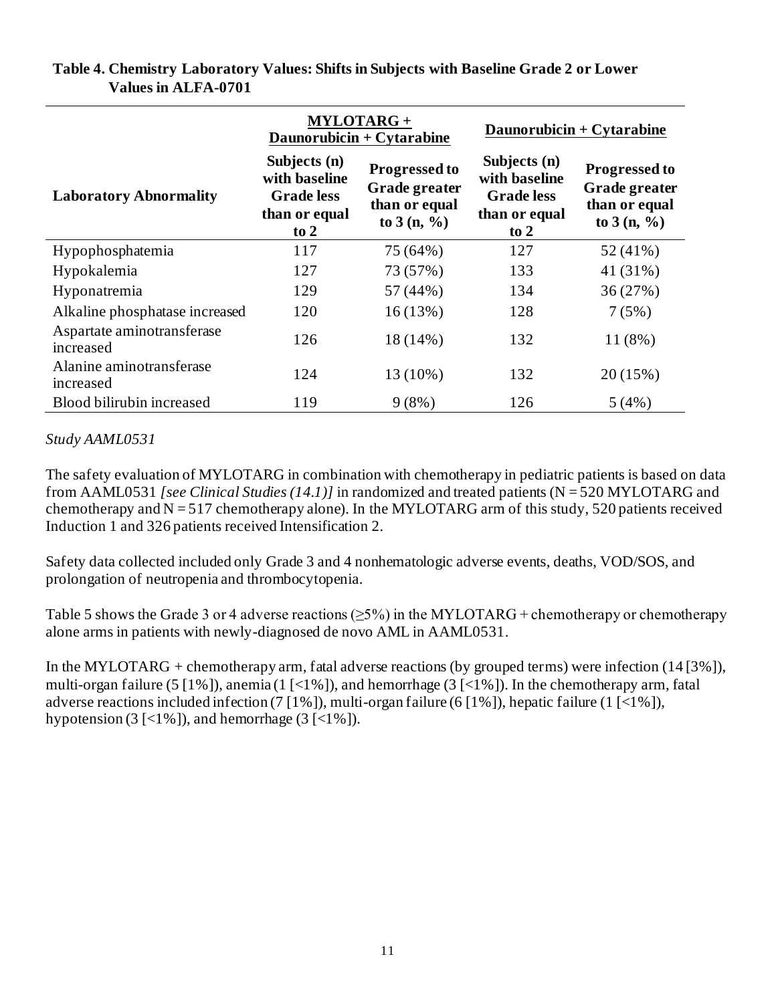|                                         | <b>MYLOTARG+</b><br>Daunorubicin + Cytarabine                                 |                                                                        | Daunorubicin + $Cytarabine$                                                          |                                                                        |
|-----------------------------------------|-------------------------------------------------------------------------------|------------------------------------------------------------------------|--------------------------------------------------------------------------------------|------------------------------------------------------------------------|
| <b>Laboratory Abnormality</b>           | Subjects (n)<br>with baseline<br><b>Grade</b> less<br>than or equal<br>to $2$ | <b>Progressed to</b><br>Grade greater<br>than or equal<br>to $3(n, %)$ | Subjects (n)<br>with baseline<br><b>Grade</b> less<br>than or equal<br>$\frac{1}{2}$ | <b>Progressed to</b><br>Grade greater<br>than or equal<br>to $3(n, %)$ |
| Hypophosphatemia                        | 117                                                                           | 75 (64%)                                                               | 127                                                                                  | 52 (41%)                                                               |
| Hypokalemia                             | 127                                                                           | 73 (57%)                                                               | 133                                                                                  | 41 (31%)                                                               |
| Hyponatremia                            | 129                                                                           | 57 (44%)                                                               | 134                                                                                  | 36(27%)                                                                |
| Alkaline phosphatase increased          | 120                                                                           | 16(13%)                                                                | 128                                                                                  | 7(5%)                                                                  |
| Aspartate aminotransferase<br>increased | 126                                                                           | 18(14%)                                                                | 132                                                                                  | $11(8\%)$                                                              |
| Alanine aminotransferase<br>increased   | 124                                                                           | 13 (10%)                                                               | 132                                                                                  | 20(15%)                                                                |
| Blood bilirubin increased               | 119                                                                           | 9(8%)                                                                  | 126                                                                                  | 5(4%)                                                                  |

#### **Table 4. Chemistry Laboratory Values: Shifts in Subjects with Baseline Grade 2 or Lower Values in ALFA-0701**

#### *Study AAML0531*

The safety evaluation of MYLOTARG in combination with chemotherapy in pediatric patients is based on data from AAML0531 *[see Clinical Studies (14.1)]* in randomized and treated patients (N = 520 MYLOTARG and chemotherapy and  $N = 517$  chemotherapy alone). In the MYLOTARG arm of this study, 520 patients received Induction 1 and 326 patients received Intensification 2.

Safety data collected included only Grade 3 and 4 nonhematologic adverse events, deaths, VOD/SOS, and prolongation of neutropenia and thrombocytopenia.

Table 5 shows the Grade 3 or 4 adverse reactions ( $\geq$ 5%) in the MYLOTARG + chemotherapy or chemotherapy alone arms in patients with newly-diagnosed de novo AML in AAML0531.

In the MYLOTARG + chemotherapy arm, fatal adverse reactions (by grouped terms) were infection (14 [3%]), multi-organ failure (5 [1%]), anemia (1 [<1%]), and hemorrhage (3 [<1%]). In the chemotherapy arm, fatal adverse reactions included infection (7 [1%]), multi-organ failure (6 [1%]), hepatic failure (1 [<1%]), hypotension  $(3 \leq 1\%)$ , and hemorrhage  $(3 \leq 1\%)$ .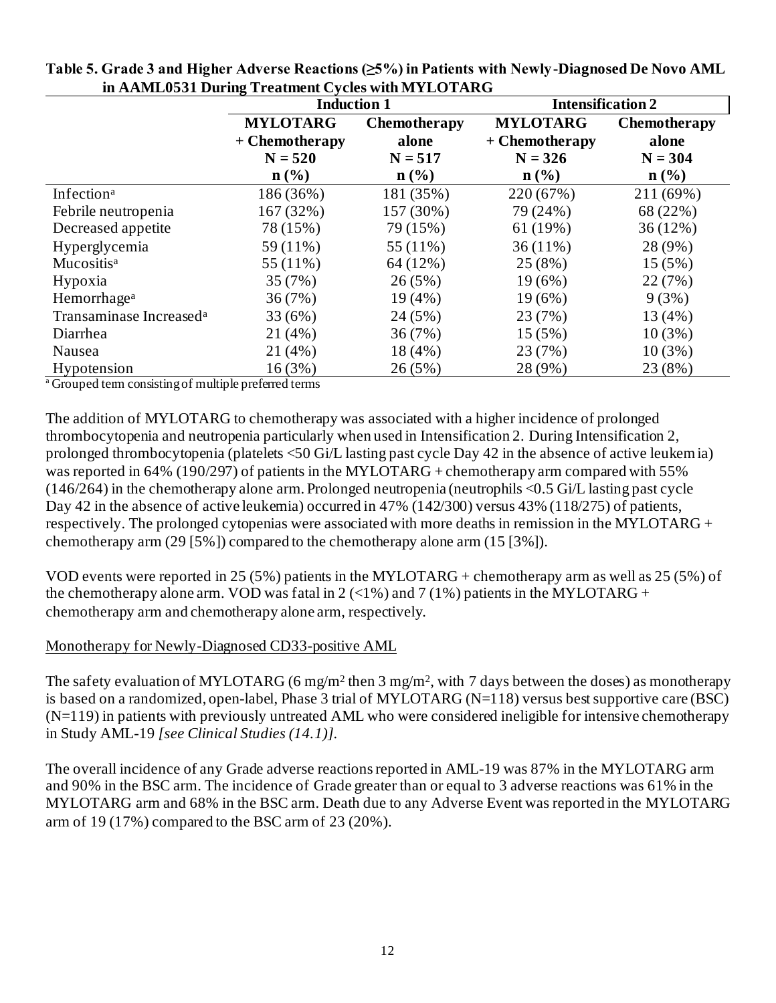|                                     | <b>Induction 1</b> |                     | <b>Intensification 2</b> |                     |  |
|-------------------------------------|--------------------|---------------------|--------------------------|---------------------|--|
|                                     | <b>MYLOTARG</b>    | <b>Chemotherapy</b> | <b>MYLOTARG</b>          | <b>Chemotherapy</b> |  |
|                                     | $+$ Chemotherapy   | alone               | + Chemotherapy           | alone               |  |
|                                     | $N = 520$          | $N = 517$           | $N = 326$                | $N = 304$           |  |
|                                     | $n$ (%)            | $\mathbf{n}(\%)$    | $\mathbf{n}(\%)$         | $\mathbf{n}(\%)$    |  |
| Infection <sup>a</sup>              | 186 (36%)          | 181 (35%)           | 220 (67%)                | 211 (69%)           |  |
| Febrile neutropenia                 | 167 (32%)          | 157 (30%)           | 79 (24%)                 | 68 (22%)            |  |
| Decreased appetite                  | 78 (15%)           | 79 (15%)            | 61(19%)                  | 36(12%)             |  |
| Hyperglycemia                       | $59(11\%)$         | 55 (11%)            | $36(11\%)$               | 28 (9%)             |  |
| Mucositis <sup>a</sup>              | 55 $(11\%)$        | 64(12%)             | 25(8%)                   | 15(5%)              |  |
| Hypoxia                             | 35(7%)             | 26(5%)              | $19(6\%)$                | 22 (7%)             |  |
| Hemorrhage <sup>a</sup>             | 36(7%)             | $19(4\%)$           | $19(6\%)$                | 9(3%)               |  |
| Transaminase Increased <sup>a</sup> | 33 (6%)            | 24 (5%)             | 23 (7%)                  | 13 (4%)             |  |
| Diarrhea                            | 21(4%)             | 36(7%)              | $15(5\%)$                | $10(3\%)$           |  |
| Nausea                              | 21 (4%)            | $18(4\%)$           | 23 (7%)                  | $10(3\%)$           |  |
| Hypotension<br>$\cdot$<br>1.1.1.1   | 16(3%)             | 26(5%)              | 28 (9%)                  | 23 (8%)             |  |

**Table 5. Grade 3 and Higher Adverse Reactions (≥5%) in Patients with Newly-Diagnosed De Novo AML in AAML0531 During Treatment Cycles with MYLOTARG**

<sup>a</sup>Grouped term consisting of multiple preferred terms

The addition of MYLOTARG to chemotherapy was associated with a higher incidence of prolonged thrombocytopenia and neutropenia particularly when used in Intensification 2. During Intensification 2, prolonged thrombocytopenia (platelets <50 Gi/L lasting past cycle Day 42 in the absence of active leukemia) was reported in 64% (190/297) of patients in the MYLOTARG + chemotherapy arm compared with 55% (146/264) in the chemotherapy alone arm. Prolonged neutropenia (neutrophils <0.5 Gi/L lasting past cycle Day 42 in the absence of active leukemia) occurred in 47% (142/300) versus 43% (118/275) of patients, respectively. The prolonged cytopenias were associated with more deaths in remission in the MYLOTARG + chemotherapy arm  $(29 [5\%)$  compared to the chemotherapy alone arm  $(15 [3\%])$ .

VOD events were reported in 25 (5%) patients in the MYLOTARG + chemotherapy arm as well as 25 (5%) of the chemotherapy alone arm. VOD was fatal in 2 (<1%) and 7 (1%) patients in the MYLOTARG + chemotherapy arm and chemotherapy alone arm, respectively.

#### Monotherapy for Newly-Diagnosed CD33-positive AML

The safety evaluation of MYLOTARG (6 mg/m<sup>2</sup> then 3 mg/m<sup>2</sup>, with 7 days between the doses) as monotherapy is based on a randomized, open-label, Phase 3 trial of MYLOTARG (N=118) versus best supportive care (BSC) (N=119) in patients with previously untreated AML who were considered ineligible for intensive chemotherapy in Study AML-19 *[see Clinical Studies (14.1)].*

The overall incidence of any Grade adverse reactions reported in AML-19 was 87% in the MYLOTARG arm and 90% in the BSC arm. The incidence of Grade greater than or equal to 3 adverse reactions was 61% in the MYLOTARG arm and 68% in the BSC arm. Death due to any Adverse Event was reported in the MYLOTARG arm of 19 (17%) compared to the BSC arm of 23 (20%).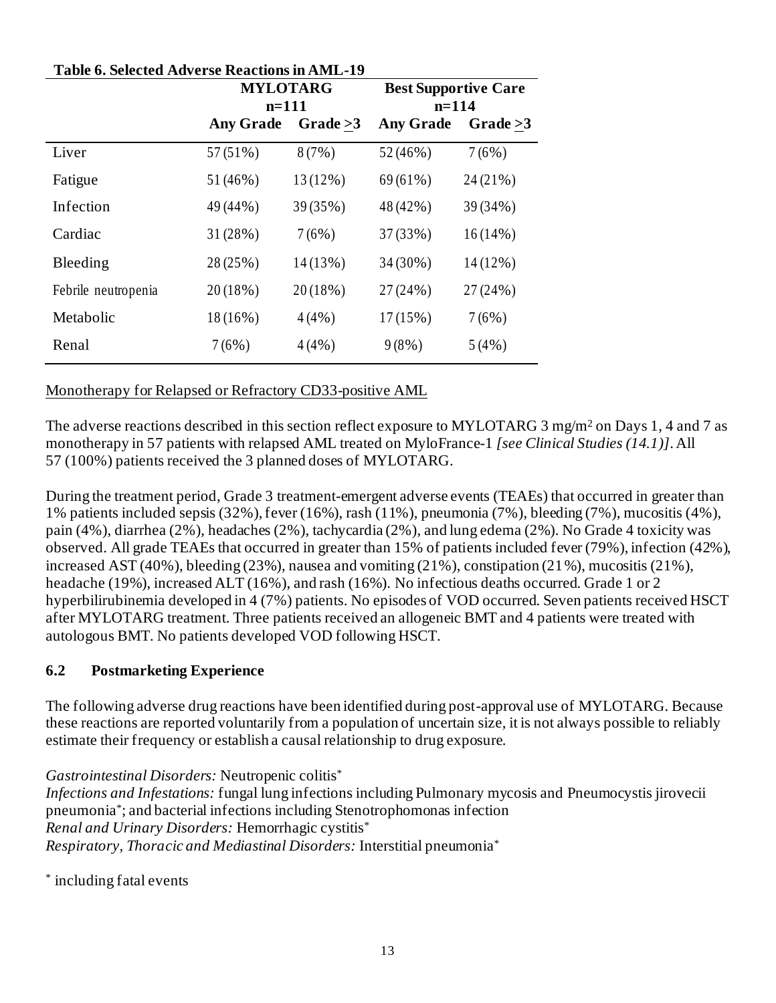| <b>Table 6. Selected Adverse Reactions in AML-19</b> |                  |                 |                  |                             |  |
|------------------------------------------------------|------------------|-----------------|------------------|-----------------------------|--|
|                                                      |                  | <b>MYLOTARG</b> |                  | <b>Best Supportive Care</b> |  |
|                                                      | $n=111$          |                 | $n=114$          |                             |  |
|                                                      | <b>Any Grade</b> | Grade $>3$      | <b>Any Grade</b> | Grade $>3$                  |  |
| Liver                                                | 57(51%)          | 8(7%)           | 52 (46%)         | 7(6%)                       |  |
| Fatigue                                              | 51 (46%)         | 13 (12%)        | $69(61\%)$       | 24 (21%)                    |  |
| Infection                                            | 49 (44%)         | 39 (35%)        | 48 (42%)         | 39 (34%)                    |  |
| Cardiac                                              | 31 (28%)         | 7(6%)           | 37 (33%)         | $16(14\%)$                  |  |
| Bleeding                                             | 28 (25%)         | $14(13\%)$      | 34 (30%)         | 14 (12%)                    |  |
| Febrile neutropenia                                  | 20(18%)          | $20(18\%)$      | 27(24%)          | 27 (24%)                    |  |
| Metabolic                                            | $18(16\%)$       | 4(4%)           | $17(15\%)$       | 7(6%)                       |  |
| Renal                                                | 7(6%)            | 4(4%)           | $9(8\%)$         | 5(4%)                       |  |

# Monotherapy for Relapsed or Refractory CD33-positive AML

The adverse reactions described in this section reflect exposure to MYLOTARG 3 mg/m<sup>2</sup> on Days 1, 4 and 7 as monotherapy in 57 patients with relapsed AML treated on MyloFrance-1 *[see Clinical Studies (14.1)]*. All 57 (100%) patients received the 3 planned doses of MYLOTARG.

During the treatment period, Grade 3 treatment-emergent adverse events (TEAEs) that occurred in greater than 1% patients included sepsis (32%), fever (16%), rash (11%), pneumonia (7%), bleeding (7%), mucositis (4%), pain (4%), diarrhea (2%), headaches (2%), tachycardia (2%), and lung edema (2%). No Grade 4 toxicity was observed. All grade TEAEs that occurred in greater than 15% of patients included fever (79%), infection (42%), increased AST (40%), bleeding (23%), nausea and vomiting (21%), constipation (21%), mucositis (21%), headache (19%), increased ALT (16%), and rash (16%). No infectious deaths occurred. Grade 1 or 2 hyperbilirubinemia developed in 4 (7%) patients. No episodes of VOD occurred. Seven patients received HSCT after MYLOTARG treatment. Three patients received an allogeneic BMT and 4 patients were treated with autologous BMT. No patients developed VOD following HSCT.

# **6.2 Postmarketing Experience**

The following adverse drug reactions have been identified during post-approval use of MYLOTARG. Because these reactions are reported voluntarily from a population of uncertain size, it is not always possible to reliably estimate their frequency or establish a causal relationship to drug exposure.

*Gastrointestinal Disorders:* Neutropenic colitis\*

*Infections and Infestations:* fungal lung infections including Pulmonary mycosis and Pneumocystis jirovecii pneumonia\* ; and bacterial infections including Stenotrophomonas infection *Renal and Urinary Disorders:* Hemorrhagic cystitis\* *Respiratory, Thoracic and Mediastinal Disorders:* Interstitial pneumonia\*

\* including fatal events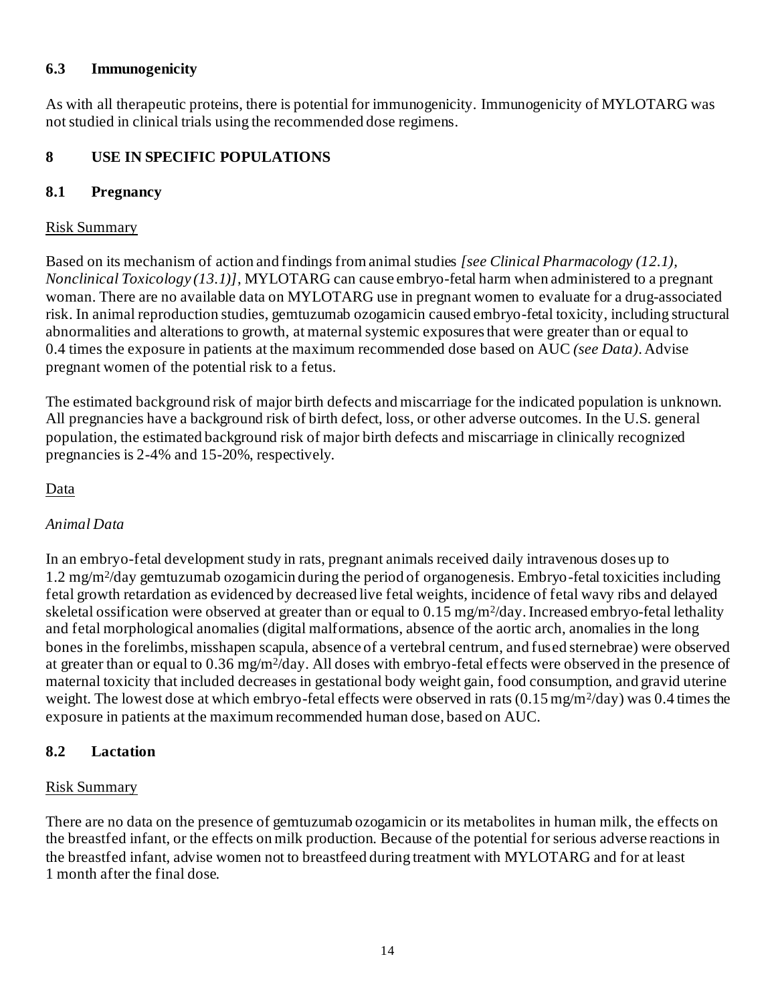#### **6.3 Immunogenicity**

As with all therapeutic proteins, there is potential for immunogenicity. Immunogenicity of MYLOTARG was not studied in clinical trials using the recommended dose regimens.

#### **8 USE IN SPECIFIC POPULATIONS**

#### **8.1 Pregnancy**

#### Risk Summary

Based on its mechanism of action and findings from animal studies *[see Clinical Pharmacology (12.1), Nonclinical Toxicology (13.1)]*, MYLOTARG can cause embryo-fetal harm when administered to a pregnant woman. There are no available data on MYLOTARG use in pregnant women to evaluate for a drug-associated risk. In animal reproduction studies, gemtuzumab ozogamicin caused embryo-fetal toxicity, including structural abnormalities and alterations to growth, at maternal systemic exposures that were greater than or equal to 0.4 times the exposure in patients at the maximum recommended dose based on AUC *(see Data)*. Advise pregnant women of the potential risk to a fetus.

The estimated background risk of major birth defects and miscarriage for the indicated population is unknown. All pregnancies have a background risk of birth defect, loss, or other adverse outcomes. In the U.S. general population, the estimated background risk of major birth defects and miscarriage in clinically recognized pregnancies is 2-4% and 15-20%, respectively.

#### Data

#### *Animal Data*

In an embryo-fetal development study in rats, pregnant animals received daily intravenous doses up to 1.2 mg/m<sup>2</sup> /day gemtuzumab ozogamicin during the period of organogenesis. Embryo-fetal toxicities including fetal growth retardation as evidenced by decreased live fetal weights, incidence of fetal wavy ribs and delayed skeletal ossification were observed at greater than or equal to 0.15 mg/m<sup>2</sup>/day. Increased embryo-fetal lethality and fetal morphological anomalies (digital malformations, absence of the aortic arch, anomalies in the long bones in the forelimbs, misshapen scapula, absence of a vertebral centrum, and fused sternebrae) were observed at greater than or equal to 0.36 mg/m<sup>2</sup>/day. All doses with embryo-fetal effects were observed in the presence of maternal toxicity that included decreases in gestational body weight gain, food consumption, and gravid uterine weight. The lowest dose at which embryo-fetal effects were observed in rats  $(0.15 \,\text{mg/m}^2/\text{day})$  was  $0.4$  times the exposure in patients at the maximum recommended human dose, based on AUC.

#### **8.2 Lactation**

#### Risk Summary

There are no data on the presence of gemtuzumab ozogamicin or its metabolites in human milk, the effects on the breastfed infant, or the effects on milk production. Because of the potential for serious adverse reactions in the breastfed infant, advise women not to breastfeed during treatment with MYLOTARG and for at least 1 month after the final dose.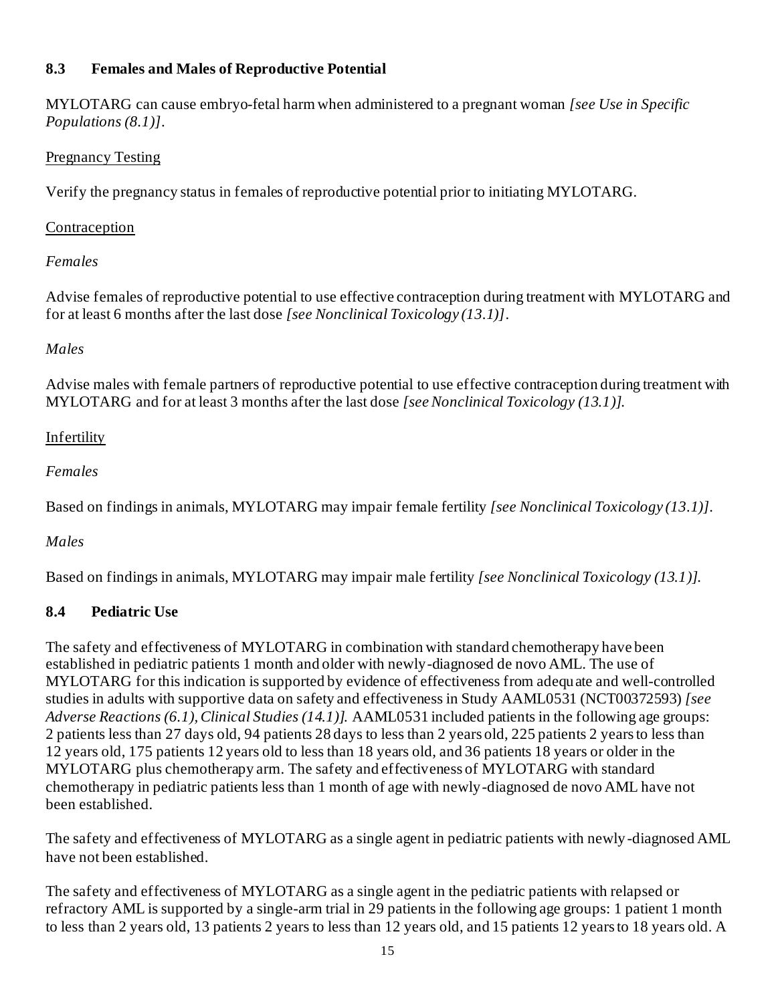## **8.3 Females and Males of Reproductive Potential**

MYLOTARG can cause embryo-fetal harm when administered to a pregnant woman *[see Use in Specific Populations (8.1)]*.

#### Pregnancy Testing

Verify the pregnancy status in females of reproductive potential prior to initiating MYLOTARG.

## Contraception

# *Females*

Advise females of reproductive potential to use effective contraception during treatment with MYLOTARG and for at least 6 months after the last dose *[see Nonclinical Toxicology (13.1)]*.

# *Males*

Advise males with female partners of reproductive potential to use effective contraception during treatment with MYLOTARG and for at least 3 months after the last dose *[see Nonclinical Toxicology (13.1)]*.

## Infertility

## *Females*

Based on findings in animals, MYLOTARG may impair female fertility *[see Nonclinical Toxicology (13.1)]*.

## *Males*

Based on findings in animals, MYLOTARG may impair male fertility *[see Nonclinical Toxicology (13.1)]*.

## **8.4 Pediatric Use**

The safety and effectiveness of MYLOTARG in combination with standard chemotherapy have been established in pediatric patients 1 month and older with newly-diagnosed de novo AML. The use of MYLOTARG for this indication is supported by evidence of effectiveness from adequate and well-controlled studies in adults with supportive data on safety and effectiveness in Study AAML0531 (NCT00372593) *[see Adverse Reactions (6.1), Clinical Studies (14.1)].* AAML0531 included patients in the following age groups: 2 patients less than 27 days old, 94 patients 28 days to less than 2 years old, 225 patients 2 years to less than 12 years old, 175 patients 12 years old to less than 18 years old, and 36 patients 18 years or older in the MYLOTARG plus chemotherapy arm. The safety and effectiveness of MYLOTARG with standard chemotherapy in pediatric patients less than 1 month of age with newly-diagnosed de novo AML have not been established.

The safety and effectiveness of MYLOTARG as a single agent in pediatric patients with newly-diagnosed AML have not been established.

The safety and effectiveness of MYLOTARG as a single agent in the pediatric patients with relapsed or refractory AML is supported by a single-arm trial in 29 patients in the following age groups: 1 patient 1 month to less than 2 years old, 13 patients 2 years to less than 12 years old, and 15 patients 12 years to 18 years old. A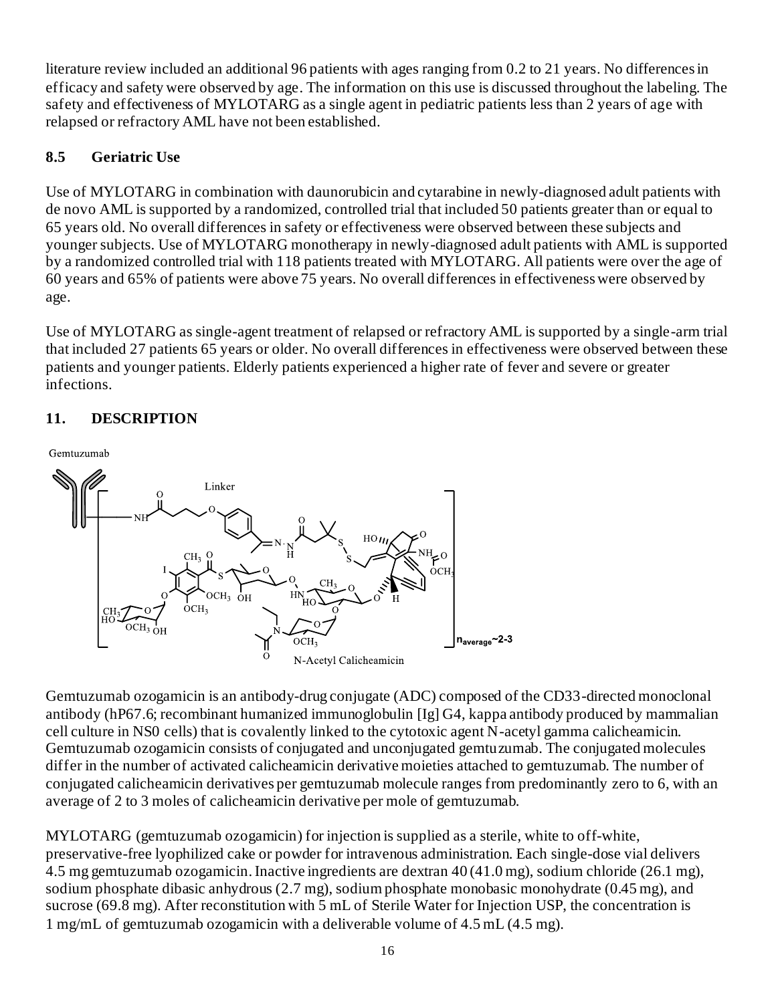literature review included an additional 96 patients with ages ranging from 0.2 to 21 years. No differences in efficacy and safety were observed by age. The information on this use is discussed throughout the labeling. The safety and effectiveness of MYLOTARG as a single agent in pediatric patients less than 2 years of age with relapsed or refractory AML have not been established.

# **8.5 Geriatric Use**

Use of MYLOTARG in combination with daunorubicin and cytarabine in newly-diagnosed adult patients with de novo AML is supported by a randomized, controlled trial that included 50 patients greater than or equal to 65 years old. No overall differences in safety or effectiveness were observed between these subjects and younger subjects. Use of MYLOTARG monotherapy in newly-diagnosed adult patients with AML is supported by a randomized controlled trial with 118 patients treated with MYLOTARG. All patients were over the age of 60 years and 65% of patients were above 75 years. No overall differences in effectiveness were observed by age.

Use of MYLOTARG as single-agent treatment of relapsed or refractory AML is supported by a single-arm trial that included 27 patients 65 years or older. No overall differences in effectiveness were observed between these patients and younger patients. Elderly patients experienced a higher rate of fever and severe or greater infections.

# **11. DESCRIPTION**





Gemtuzumab ozogamicin is an antibody-drug conjugate (ADC) composed of the CD33-directed monoclonal antibody (hP67.6; recombinant humanized immunoglobulin [Ig] G4, kappa antibody produced by mammalian cell culture in NS0 cells) that is covalently linked to the cytotoxic agent N-acetyl gamma calicheamicin. Gemtuzumab ozogamicin consists of conjugated and unconjugated gemtuzumab. The conjugated molecules differ in the number of activated calicheamicin derivative moieties attached to gemtuzumab. The number of conjugated calicheamicin derivatives per gemtuzumab molecule ranges from predominantly zero to 6, with an average of 2 to 3 moles of calicheamicin derivative per mole of gemtuzumab.

MYLOTARG (gemtuzumab ozogamicin) for injection is supplied as a sterile, white to off-white, preservative-free lyophilized cake or powder for intravenous administration. Each single-dose vial delivers 4.5 mg gemtuzumab ozogamicin. Inactive ingredients are dextran 40 (41.0 mg), sodium chloride (26.1 mg), sodium phosphate dibasic anhydrous (2.7 mg), sodium phosphate monobasic monohydrate (0.45 mg), and sucrose (69.8 mg). After reconstitution with 5 mL of Sterile Water for Injection USP, the concentration is 1 mg/mL of gemtuzumab ozogamicin with a deliverable volume of 4.5 mL (4.5 mg).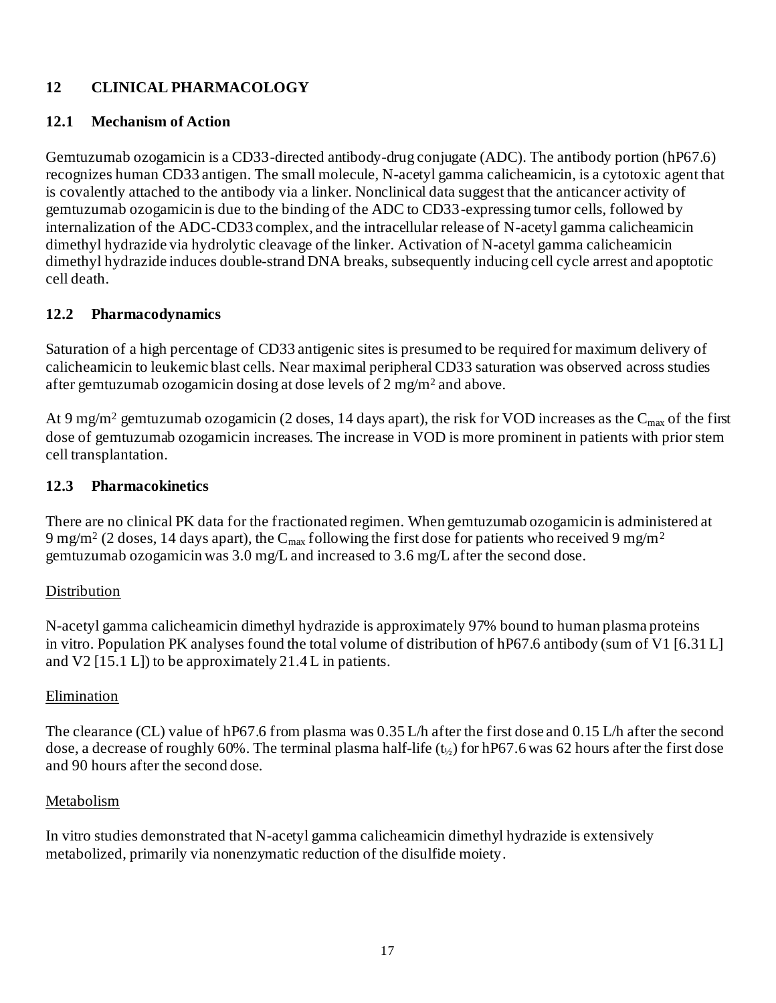# **12 CLINICAL PHARMACOLOGY**

#### **12.1 Mechanism of Action**

Gemtuzumab ozogamicin is a CD33-directed antibody-drug conjugate (ADC). The antibody portion (hP67.6) recognizes human CD33 antigen. The small molecule, N-acetyl gamma calicheamicin, is a cytotoxic agent that is covalently attached to the antibody via a linker. Nonclinical data suggest that the anticancer activity of gemtuzumab ozogamicin is due to the binding of the ADC to CD33-expressing tumor cells, followed by internalization of the ADC-CD33 complex, and the intracellular release of N-acetyl gamma calicheamicin dimethyl hydrazide via hydrolytic cleavage of the linker. Activation of N-acetyl gamma calicheamicin dimethyl hydrazide induces double-strand DNA breaks, subsequently inducing cell cycle arrest and apoptotic cell death.

#### **12.2 Pharmacodynamics**

Saturation of a high percentage of CD33 antigenic sites is presumed to be required for maximum delivery of calicheamicin to leukemic blast cells. Near maximal peripheral CD33 saturation was observed across studies after gemtuzumab ozogamicin dosing at dose levels of 2 mg/m<sup>2</sup> and above.

At 9 mg/m<sup>2</sup> gemtuzumab ozogamicin (2 doses, 14 days apart), the risk for VOD increases as the C<sub>max</sub> of the first dose of gemtuzumab ozogamicin increases. The increase in VOD is more prominent in patients with prior stem cell transplantation.

#### **12.3 Pharmacokinetics**

There are no clinical PK data for the fractionated regimen. When gemtuzumab ozogamicin is administered at 9 mg/m<sup>2</sup> (2 doses, 14 days apart), the C<sub>max</sub> following the first dose for patients who received 9 mg/m<sup>2</sup> gemtuzumab ozogamicin was 3.0 mg/L and increased to 3.6 mg/L after the second dose.

#### Distribution

N-acetyl gamma calicheamicin dimethyl hydrazide is approximately 97% bound to human plasma proteins in vitro. Population PK analyses found the total volume of distribution of hP67.6 antibody (sum of V1 [6.31 L] and V2 [15.1 L]) to be approximately 21.4 L in patients.

#### **Elimination**

The clearance (CL) value of hP67.6 from plasma was 0.35 L/h after the first dose and 0.15 L/h after the second dose, a decrease of roughly 60%. The terminal plasma half-life  $(t_1)$  for hP67.6 was 62 hours after the first dose and 90 hours after the second dose.

#### Metabolism

In vitro studies demonstrated that N-acetyl gamma calicheamicin dimethyl hydrazide is extensively metabolized, primarily via nonenzymatic reduction of the disulfide moiety.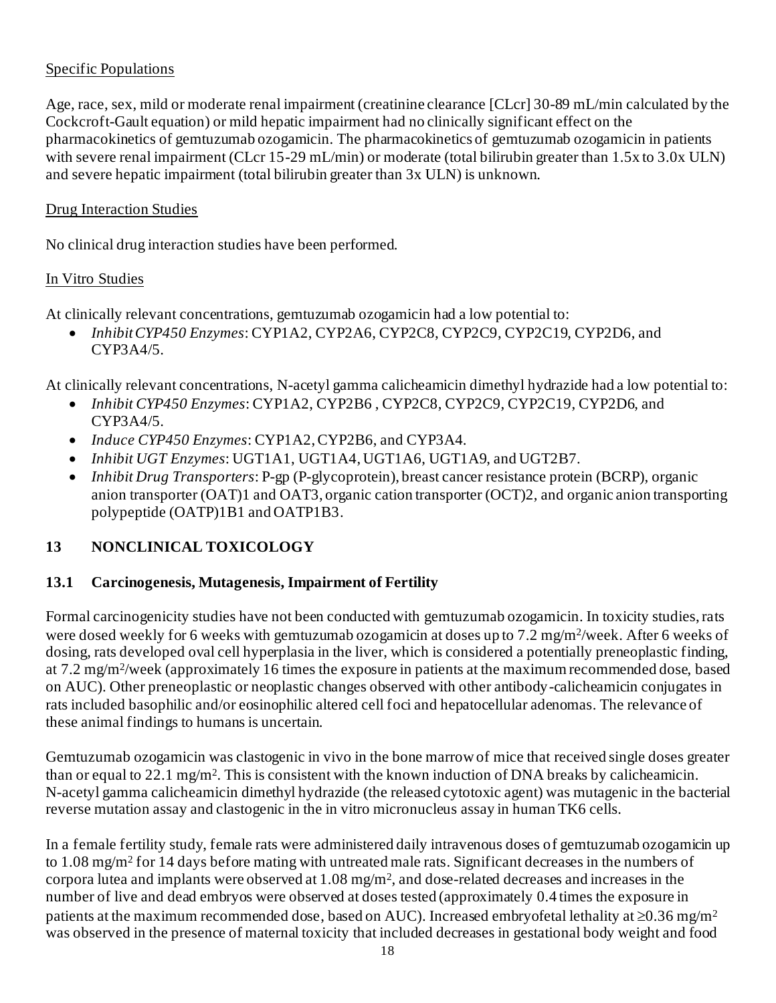#### Specific Populations

Age, race, sex, mild or moderate renal impairment (creatinine clearance [CLcr] 30-89 mL/min calculated by the Cockcroft-Gault equation) or mild hepatic impairment had no clinically significant effect on the pharmacokinetics of gemtuzumab ozogamicin. The pharmacokinetics of gemtuzumab ozogamicin in patients with severe renal impairment (CLcr 15-29 mL/min) or moderate (total bilirubin greater than 1.5x to 3.0x ULN) and severe hepatic impairment (total bilirubin greater than 3x ULN) is unknown.

#### Drug Interaction Studies

No clinical drug interaction studies have been performed.

#### In Vitro Studies

At clinically relevant concentrations, gemtuzumab ozogamicin had a low potential to:

• *InhibitCYP450 Enzymes*: CYP1A2, CYP2A6, CYP2C8, CYP2C9, CYP2C19, CYP2D6, and CYP3A4/5.

At clinically relevant concentrations, N-acetyl gamma calicheamicin dimethyl hydrazide had a low potential to:

- *Inhibit CYP450 Enzymes*: CYP1A2, CYP2B6 , CYP2C8, CYP2C9, CYP2C19, CYP2D6, and CYP3A4/5.
- *Induce CYP450 Enzymes*: CYP1A2, CYP2B6, and CYP3A4.
- *Inhibit UGT Enzymes*: UGT1A1, UGT1A4, UGT1A6, UGT1A9, and UGT2B7.
- *Inhibit Drug Transporters*: P-gp (P-glycoprotein), breast cancer resistance protein (BCRP), organic anion transporter (OAT)1 and OAT3, organic cation transporter (OCT)2, and organic anion transporting polypeptide (OATP)1B1 and OATP1B3.

# **13 NONCLINICAL TOXICOLOGY**

## **13.1 Carcinogenesis, Mutagenesis, Impairment of Fertility**

Formal carcinogenicity studies have not been conducted with gemtuzumab ozogamicin. In toxicity studies, rats were dosed weekly for 6 weeks with gemtuzumab ozogamicin at doses up to 7.2 mg/m<sup>2</sup>/week. After 6 weeks of dosing, rats developed oval cell hyperplasia in the liver, which is considered a potentially preneoplastic finding, at 7.2 mg/m<sup>2</sup> /week (approximately 16 times the exposure in patients at the maximum recommended dose, based on AUC). Other preneoplastic or neoplastic changes observed with other antibody-calicheamicin conjugates in rats included basophilic and/or eosinophilic altered cell foci and hepatocellular adenomas. The relevance of these animal findings to humans is uncertain.

Gemtuzumab ozogamicin was clastogenic in vivo in the bone marrow of mice that received single doses greater than or equal to 22.1 mg/m<sup>2</sup>. This is consistent with the known induction of DNA breaks by calicheamicin. N-acetyl gamma calicheamicin dimethyl hydrazide (the released cytotoxic agent) was mutagenic in the bacterial reverse mutation assay and clastogenic in the in vitro micronucleus assay in human TK6 cells.

In a female fertility study, female rats were administered daily intravenous doses of gemtuzumab ozogamicin up to 1.08 mg/m<sup>2</sup> for 14 days before mating with untreated male rats. Significant decreases in the numbers of corpora lutea and implants were observed at 1.08 mg/m<sup>2</sup> , and dose-related decreases and increases in the number of live and dead embryos were observed at doses tested (approximately 0.4 times the exposure in patients at the maximum recommended dose, based on AUC). Increased embryofetal lethality at  $\geq 0.36$  mg/m<sup>2</sup> was observed in the presence of maternal toxicity that included decreases in gestational body weight and food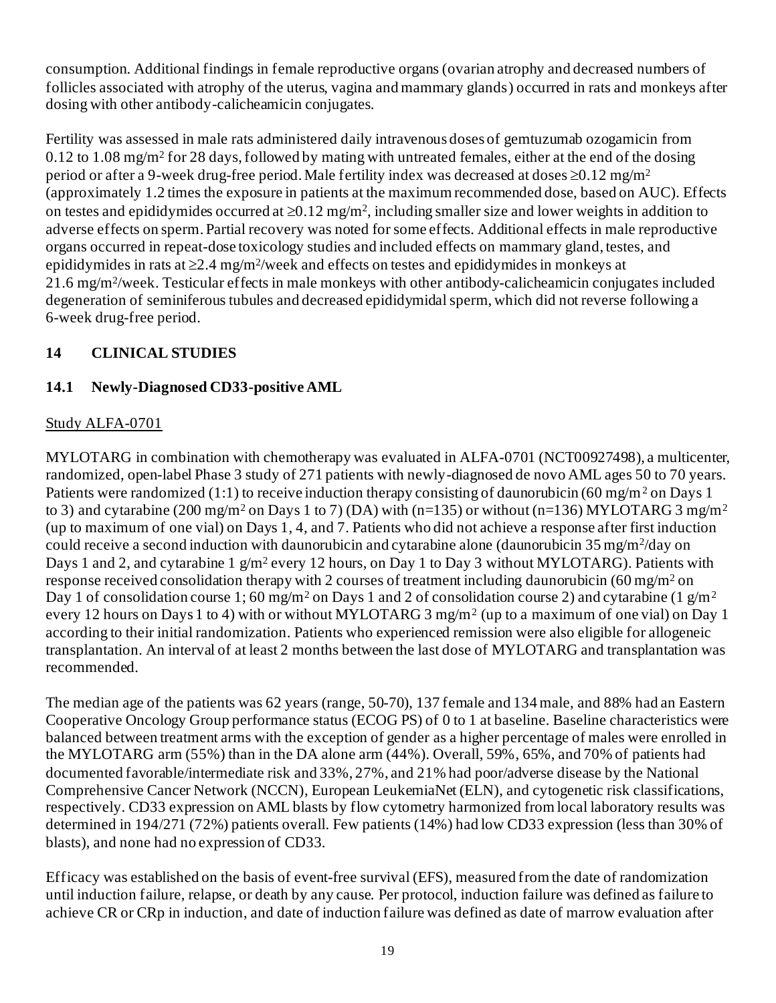consumption. Additional findings in female reproductive organs (ovarian atrophy and decreased numbers of follicles associated with atrophy of the uterus, vagina and mammary glands) occurred in rats and monkeys after dosing with other antibody-calicheamicin conjugates.

Fertility was assessed in male rats administered daily intravenous doses of gemtuzumab ozogamicin from 0.12 to 1.08 mg/m<sup>2</sup> for 28 days, followed by mating with untreated females, either at the end of the dosing period or after a 9-week drug-free period. Male fertility index was decreased at doses  $\geq 0.12$  mg/m<sup>2</sup> (approximately 1.2 times the exposure in patients at the maximum recommended dose, based on AUC). Effects on testes and epididymides occurred at  $\geq 0.12$  mg/m<sup>2</sup>, including smaller size and lower weights in addition to adverse effects on sperm. Partial recovery was noted for some effects. Additional effects in male reproductive organs occurred in repeat-dose toxicology studies and included effects on mammary gland, testes, and epididymides in rats at  $\geq 2.4$  mg/m<sup>2</sup>/week and effects on testes and epididymides in monkeys at 21.6 mg/m<sup>2</sup> /week. Testicular effects in male monkeys with other antibody-calicheamicin conjugates included degeneration of seminiferous tubules and decreased epididymidal sperm, which did not reverse following a 6-week drug-free period.

# **14 CLINICAL STUDIES**

# **14.1 Newly-Diagnosed CD33-positive AML**

# Study ALFA-0701

MYLOTARG in combination with chemotherapy was evaluated in ALFA-0701 (NCT00927498), a multicenter, randomized, open-label Phase 3 study of 271 patients with newly-diagnosed de novo AML ages 50 to 70 years. Patients were randomized (1:1) to receive induction therapy consisting of daunorubicin (60 mg/m<sup>2</sup> on Days 1) to 3) and cytarabine (200 mg/m<sup>2</sup> on Days 1 to 7) (DA) with (n=135) or without (n=136) MYLOTARG 3 mg/m<sup>2</sup> (up to maximum of one vial) on Days 1, 4, and 7. Patients who did not achieve a response after first induction could receive a second induction with daunorubicin and cytarabine alone (daunorubicin 35 mg/m<sup>2</sup>/day on Days 1 and 2, and cytarabine 1 g/m<sup>2</sup> every 12 hours, on Day 1 to Day 3 without MYLOTARG). Patients with response received consolidation therapy with 2 courses of treatment including daunorubicin (60 mg/m<sup>2</sup> on Day 1 of consolidation course 1; 60 mg/m<sup>2</sup> on Days 1 and 2 of consolidation course 2) and cytarabine (1 g/m<sup>2</sup> every 12 hours on Days 1 to 4) with or without MYLOTARG 3 mg/m<sup>2</sup> (up to a maximum of one vial) on Day 1 according to their initial randomization. Patients who experienced remission were also eligible for allogeneic transplantation. An interval of at least 2 months between the last dose of MYLOTARG and transplantation was recommended.

The median age of the patients was 62 years (range, 50-70), 137 female and 134 male, and 88% had an Eastern Cooperative Oncology Group performance status (ECOG PS) of 0 to 1 at baseline. Baseline characteristics were balanced between treatment arms with the exception of gender as a higher percentage of males were enrolled in the MYLOTARG arm (55%) than in the DA alone arm (44%). Overall, 59%, 65%, and 70% of patients had documented favorable/intermediate risk and 33%, 27%, and 21% had poor/adverse disease by the National Comprehensive Cancer Network (NCCN), European LeukemiaNet (ELN), and cytogenetic risk classifications, respectively. CD33 expression on AML blasts by flow cytometry harmonized from local laboratory results was determined in 194/271 (72%) patients overall. Few patients (14%) had low CD33 expression (less than 30% of blasts), and none had no expression of CD33.

Efficacy was established on the basis of event-free survival (EFS), measured from the date of randomization until induction failure, relapse, or death by any cause. Per protocol, induction failure was defined as failure to achieve CR or CRp in induction, and date of induction failure was defined as date of marrow evaluation after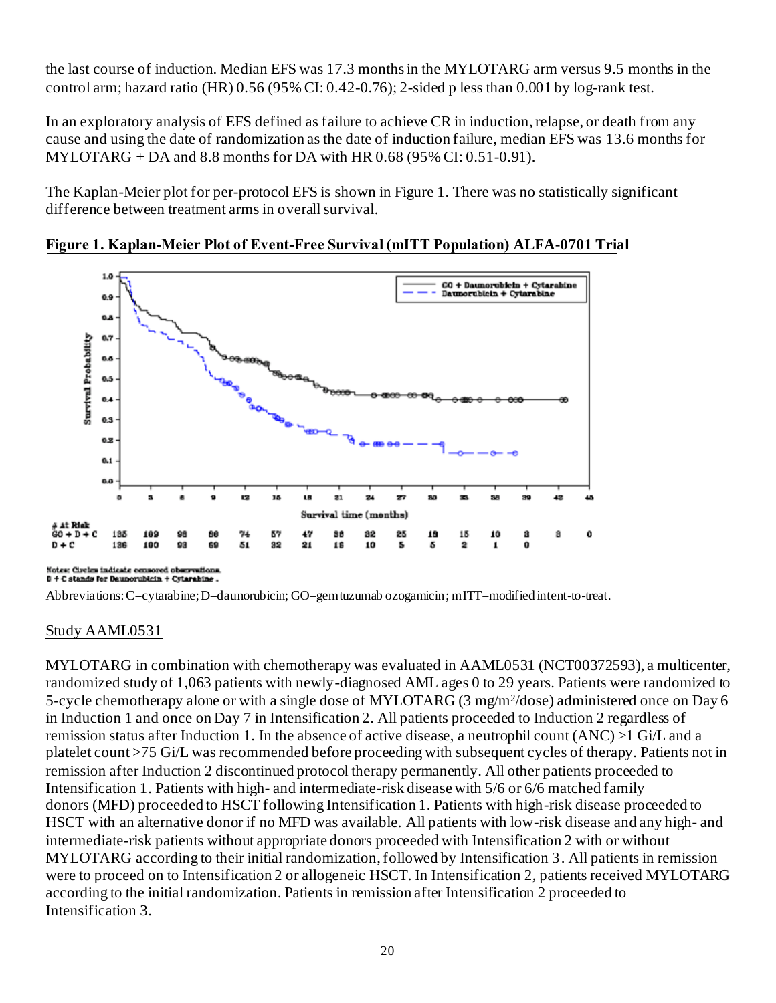the last course of induction. Median EFS was 17.3 months in the MYLOTARG arm versus 9.5 months in the control arm; hazard ratio (HR)  $0.56$  (95% CI:  $0.42$ -0.76); 2-sided p less than  $0.001$  by log-rank test.

In an exploratory analysis of EFS defined as failure to achieve CR in induction, relapse, or death from any cause and using the date of randomization as the date of induction failure, median EFS was 13.6 months for MYLOTARG  $+$  DA and 8.8 months for DA with HR 0.68 (95% CI: 0.51-0.91).

The Kaplan-Meier plot for per-protocol EFS is shown in Figure 1. There was no statistically significant difference between treatment arms in overall survival.



**Figure 1. Kaplan-Meier Plot of Event-Free Survival (mITT Population) ALFA-0701 Trial**

Abbreviations: C=cytarabine; D=daunorubicin; GO=gemtuzumab ozogamicin; mITT=modified intent-to-treat.

#### Study AAML0531

MYLOTARG in combination with chemotherapy was evaluated in AAML0531 (NCT00372593), a multicenter, randomized study of 1,063 patients with newly-diagnosed AML ages 0 to 29 years. Patients were randomized to 5-cycle chemotherapy alone or with a single dose of MYLOTARG (3 mg/m<sup>2</sup>/dose) administered once on Day 6 in Induction 1 and once on Day 7 in Intensification 2. All patients proceeded to Induction 2 regardless of remission status after Induction 1. In the absence of active disease, a neutrophil count (ANC) >1 Gi/L and a platelet count >75 Gi/L was recommended before proceeding with subsequent cycles of therapy. Patients not in remission after Induction 2 discontinued protocol therapy permanently. All other patients proceeded to Intensification 1. Patients with high- and intermediate-risk disease with 5/6 or 6/6 matched family donors (MFD) proceeded to HSCT following Intensification 1. Patients with high-risk disease proceeded to HSCT with an alternative donor if no MFD was available. All patients with low-risk disease and any high- and intermediate-risk patients without appropriate donors proceeded with Intensification 2 with or without MYLOTARG according to their initial randomization, followed by Intensification 3. All patients in remission were to proceed on to Intensification 2 or allogeneic HSCT. In Intensification 2, patients received MYLOTARG according to the initial randomization. Patients in remission after Intensification 2 proceeded to Intensification 3.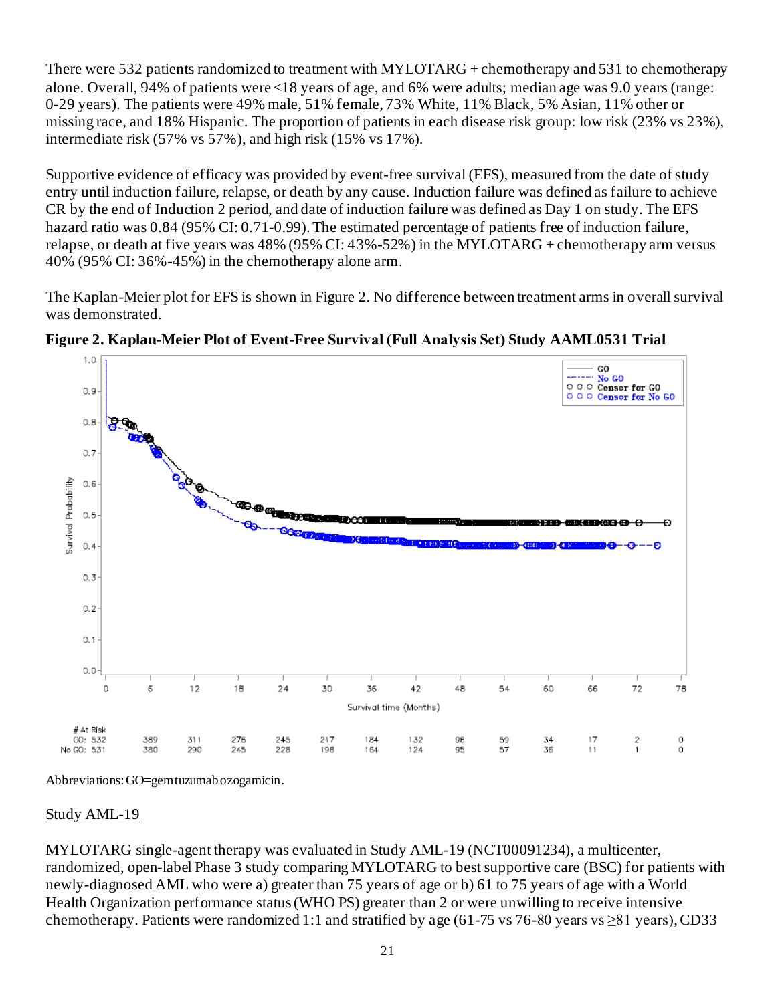There were 532 patients randomized to treatment with MYLOTARG + chemotherapy and 531 to chemotherapy alone. Overall, 94% of patients were <18 years of age, and 6% were adults; median age was 9.0 years (range: 0-29 years). The patients were 49% male, 51% female, 73% White, 11% Black, 5% Asian, 11% other or missing race, and 18% Hispanic. The proportion of patients in each disease risk group: low risk (23% vs 23%), intermediate risk (57% vs 57%), and high risk (15% vs 17%).

Supportive evidence of efficacy was provided by event-free survival (EFS), measured from the date of study entry until induction failure, relapse, or death by any cause. Induction failure was defined as failure to achieve CR by the end of Induction 2 period, and date of induction failure was defined as Day 1 on study. The EFS hazard ratio was 0.84 (95% CI: 0.71-0.99). The estimated percentage of patients free of induction failure, relapse, or death at five years was 48% (95% CI: 43%-52%) in the MYLOTARG + chemotherapy arm versus 40% (95% CI: 36%-45%) in the chemotherapy alone arm.

The Kaplan-Meier plot for EFS is shown in Figure 2. No difference between treatment arms in overall survival was demonstrated.



**Figure 2. Kaplan-Meier Plot of Event-Free Survival (Full Analysis Set) Study AAML0531 Trial**

Abbreviations: GO=gemtuzumab ozogamicin.

#### Study AML-19

MYLOTARG single-agent therapy was evaluated in Study AML-19 (NCT00091234), a multicenter, randomized, open-label Phase 3 study comparing MYLOTARG to best supportive care (BSC) for patients with newly-diagnosed AML who were a) greater than 75 years of age or b) 61 to 75 years of age with a World Health Organization performance status (WHO PS) greater than 2 or were unwilling to receive intensive chemotherapy. Patients were randomized 1:1 and stratified by age (61-75 vs 76-80 years vs  $\geq 81$  years), CD33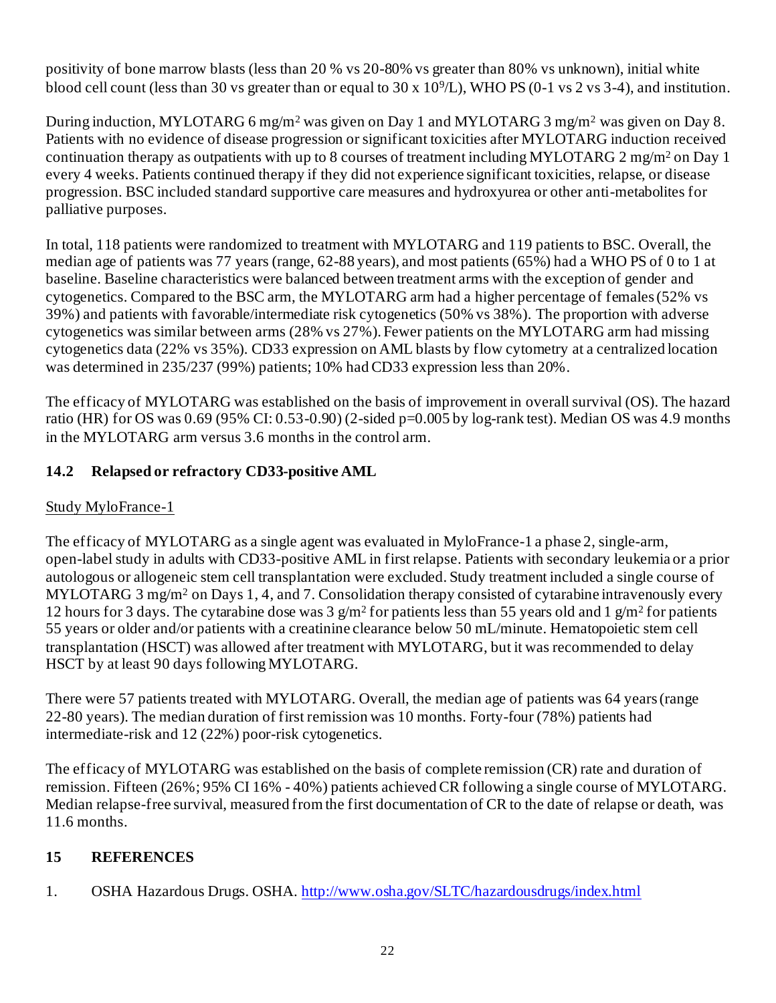positivity of bone marrow blasts (less than 20 % vs 20-80% vs greater than 80% vs unknown), initial white blood cell count (less than 30 vs greater than or equal to 30 x 10<sup>9</sup>/L), WHO PS (0-1 vs 2 vs 3-4), and institution.

During induction, MYLOTARG 6 mg/m<sup>2</sup> was given on Day 1 and MYLOTARG 3 mg/m<sup>2</sup> was given on Day 8. Patients with no evidence of disease progression or significant toxicities after MYLOTARG induction received continuation therapy as outpatients with up to 8 courses of treatment including MYLOTARG 2 mg/m<sup>2</sup> on Day 1 every 4 weeks. Patients continued therapy if they did not experience significant toxicities, relapse, or disease progression. BSC included standard supportive care measures and hydroxyurea or other anti-metabolites for palliative purposes.

In total, 118 patients were randomized to treatment with MYLOTARG and 119 patients to BSC. Overall, the median age of patients was 77 years (range, 62-88 years), and most patients (65%) had a WHO PS of 0 to 1 at baseline. Baseline characteristics were balanced between treatment arms with the exception of gender and cytogenetics. Compared to the BSC arm, the MYLOTARG arm had a higher percentage of females (52% vs 39%) and patients with favorable/intermediate risk cytogenetics (50% vs 38%). The proportion with adverse cytogenetics was similar between arms (28% vs 27%). Fewer patients on the MYLOTARG arm had missing cytogenetics data (22% vs 35%). CD33 expression on AML blasts by flow cytometry at a centralized location was determined in 235/237 (99%) patients; 10% had CD33 expression less than 20%.

The efficacy of MYLOTARG was established on the basis of improvement in overall survival (OS). The hazard ratio (HR) for OS was  $0.69$  (95% CI:  $0.53$ - $0.90$ ) (2-sided p=0.005 by log-rank test). Median OS was 4.9 months in the MYLOTARG arm versus 3.6 months in the control arm.

# **14.2 Relapsed or refractory CD33-positive AML**

# Study MyloFrance-1

The efficacy of MYLOTARG as a single agent was evaluated in MyloFrance-1 a phase 2, single-arm, open-label study in adults with CD33-positive AML in first relapse. Patients with secondary leukemia or a prior autologous or allogeneic stem cell transplantation were excluded. Study treatment included a single course of MYLOTARG 3 mg/m<sup>2</sup> on Days 1, 4, and 7. Consolidation therapy consisted of cytarabine intravenously every 12 hours for 3 days. The cytarabine dose was 3  $g/m^2$  for patients less than 55 years old and 1  $g/m^2$  for patients 55 years or older and/or patients with a creatinine clearance below 50 mL/minute. Hematopoietic stem cell transplantation (HSCT) was allowed after treatment with MYLOTARG, but it was recommended to delay HSCT by at least 90 days following MYLOTARG.

There were 57 patients treated with MYLOTARG. Overall, the median age of patients was 64 years (range 22-80 years). The median duration of first remission was 10 months. Forty-four (78%) patients had intermediate-risk and 12 (22%) poor-risk cytogenetics.

The efficacy of MYLOTARG was established on the basis of complete remission (CR) rate and duration of remission. Fifteen (26%; 95% CI 16% - 40%) patients achieved CR following a single course of MYLOTARG. Median relapse-free survival, measured from the first documentation of CR to the date of relapse or death, was 11.6 months.

# **15 REFERENCES**

1. OSHA Hazardous Drugs. OSHA[. http://www.osha.gov/SLTC/hazardousdrugs/index.html](http://www.osha.gov/SLTC/hazardousdrugs/index.html)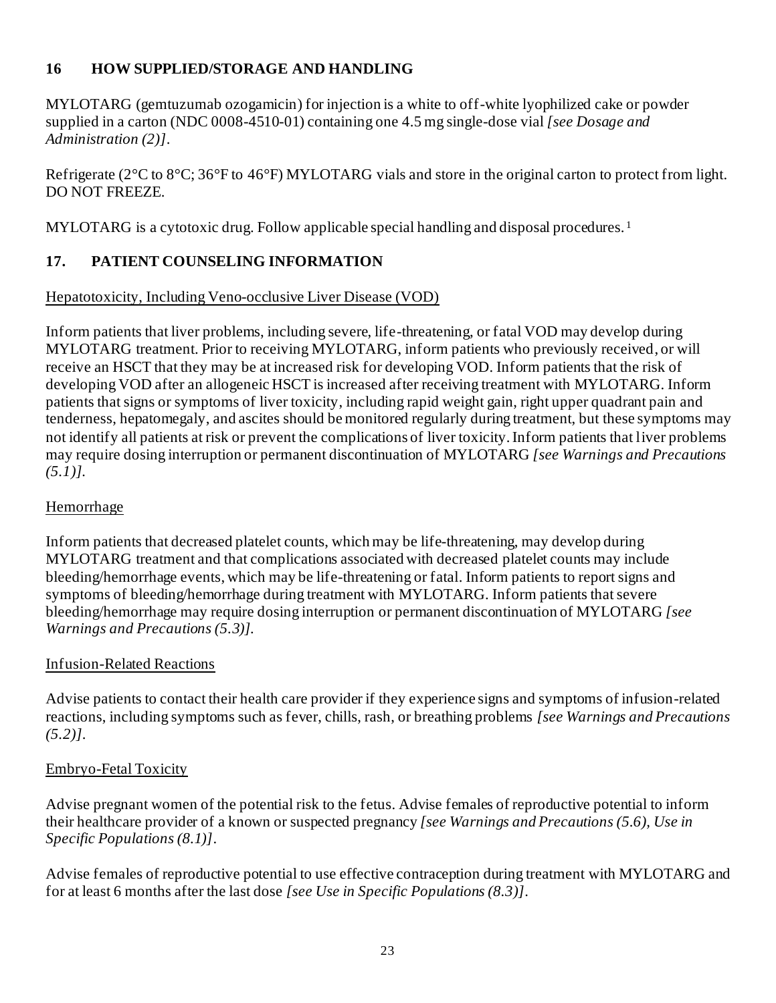# **16 HOW SUPPLIED/STORAGE AND HANDLING**

MYLOTARG (gemtuzumab ozogamicin) for injection is a white to off-white lyophilized cake or powder supplied in a carton (NDC 0008-4510-01) containing one 4.5 mg single-dose vial *[see Dosage and Administration (2)]*.

Refrigerate (2°C to 8°C; 36°F to 46°F) MYLOTARG vials and store in the original carton to protect from light. DO NOT FREEZE.

MYLOTARG is a cytotoxic drug. Follow applicable special handling and disposal procedures.<sup>1</sup>

# **17. PATIENT COUNSELING INFORMATION**

## Hepatotoxicity, Including Veno-occlusive Liver Disease (VOD)

Inform patients that liver problems, including severe, life-threatening, or fatal VOD may develop during MYLOTARG treatment. Prior to receiving MYLOTARG, inform patients who previously received, or will receive an HSCT that they may be at increased risk for developing VOD. Inform patients that the risk of developing VOD after an allogeneic HSCT is increased after receiving treatment with MYLOTARG. Inform patients that signs or symptoms of liver toxicity, including rapid weight gain, right upper quadrant pain and tenderness, hepatomegaly, and ascites should be monitored regularly during treatment, but these symptoms may not identify all patients at risk or prevent the complications of liver toxicity. Inform patients that liver problems may require dosing interruption or permanent discontinuation of MYLOTARG *[see Warnings and Precautions (5.1)].*

#### Hemorrhage

Inform patients that decreased platelet counts, which may be life-threatening, may develop during MYLOTARG treatment and that complications associated with decreased platelet counts may include bleeding/hemorrhage events, which may be life-threatening or fatal. Inform patients to report signs and symptoms of bleeding/hemorrhage during treatment with MYLOTARG. Inform patients that severe bleeding/hemorrhage may require dosing interruption or permanent discontinuation of MYLOTARG *[see Warnings and Precautions (5.3)].*

#### Infusion-Related Reactions

Advise patients to contact their health care provider if they experience signs and symptoms of infusion-related reactions, including symptoms such as fever, chills, rash, or breathing problems *[see Warnings and Precautions (5.2)]*.

#### Embryo-Fetal Toxicity

Advise pregnant women of the potential risk to the fetus. Advise females of reproductive potential to inform their healthcare provider of a known or suspected pregnancy *[see Warnings and Precautions (5.6), Use in Specific Populations (8.1)]*.

Advise females of reproductive potential to use effective contraception during treatment with MYLOTARG and for at least 6 months after the last dose *[see Use in Specific Populations (8.3)]*.